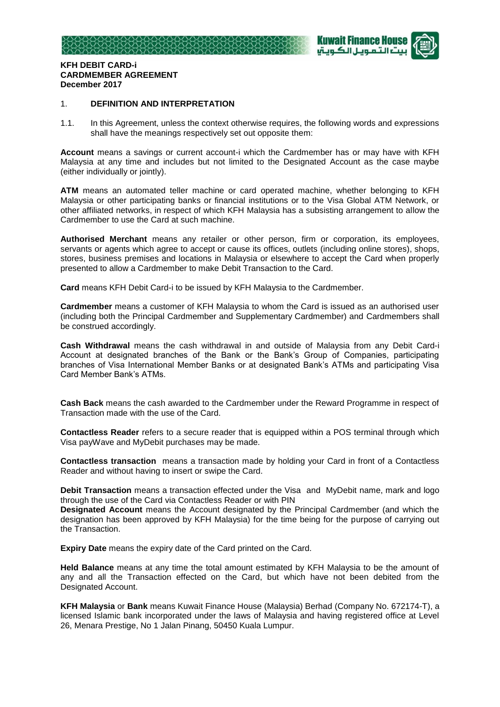



## **KFH DEBIT CARD-i CARDMEMBER AGREEMENT December 2017**

## 1. **DEFINITION AND INTERPRETATION**

1.1. In this Agreement, unless the context otherwise requires, the following words and expressions shall have the meanings respectively set out opposite them:

**Account** means a savings or current account-i which the Cardmember has or may have with KFH Malaysia at any time and includes but not limited to the Designated Account as the case maybe (either individually or jointly).

**ATM** means an automated teller machine or card operated machine, whether belonging to KFH Malaysia or other participating banks or financial institutions or to the Visa Global ATM Network, or other affiliated networks, in respect of which KFH Malaysia has a subsisting arrangement to allow the Cardmember to use the Card at such machine.

**Authorised Merchant** means any retailer or other person, firm or corporation, its employees, servants or agents which agree to accept or cause its offices, outlets (including online stores), shops, stores, business premises and locations in Malaysia or elsewhere to accept the Card when properly presented to allow a Cardmember to make Debit Transaction to the Card.

**Card** means KFH Debit Card-i to be issued by KFH Malaysia to the Cardmember.

**Cardmember** means a customer of KFH Malaysia to whom the Card is issued as an authorised user (including both the Principal Cardmember and Supplementary Cardmember) and Cardmembers shall be construed accordingly.

**Cash Withdrawal** means the cash withdrawal in and outside of Malaysia from any Debit Card-i Account at designated branches of the Bank or the Bank's Group of Companies, participating branches of Visa International Member Banks or at designated Bank's ATMs and participating Visa Card Member Bank's ATMs.

**Cash Back** means the cash awarded to the Cardmember under the Reward Programme in respect of Transaction made with the use of the Card.

**Contactless Reader** refers to a secure reader that is equipped within a POS terminal through which Visa payWave and MyDebit purchases may be made.

**Contactless transaction** means a transaction made by holding your Card in front of a Contactless Reader and without having to insert or swipe the Card.

**Debit Transaction** means a transaction effected under the Visa and MyDebit name, mark and logo through the use of the Card via Contactless Reader or with PIN

**Designated Account** means the Account designated by the Principal Cardmember (and which the designation has been approved by KFH Malaysia) for the time being for the purpose of carrying out the Transaction.

**Expiry Date** means the expiry date of the Card printed on the Card.

**Held Balance** means at any time the total amount estimated by KFH Malaysia to be the amount of any and all the Transaction effected on the Card, but which have not been debited from the Designated Account.

**KFH Malaysia** or **Bank** means Kuwait Finance House (Malaysia) Berhad (Company No. 672174-T), a licensed Islamic bank incorporated under the laws of Malaysia and having registered office at Level 26, Menara Prestige, No 1 Jalan Pinang, 50450 Kuala Lumpur.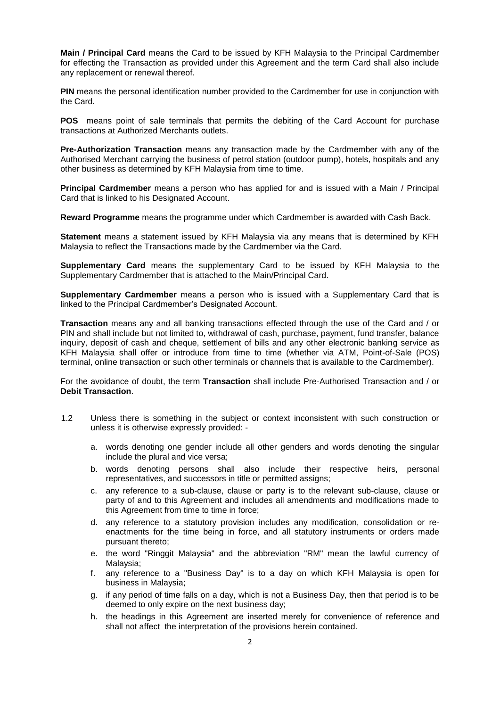**Main / Principal Card** means the Card to be issued by KFH Malaysia to the Principal Cardmember for effecting the Transaction as provided under this Agreement and the term Card shall also include any replacement or renewal thereof.

**PIN** means the personal identification number provided to the Cardmember for use in conjunction with the Card.

**POS** means point of sale terminals that permits the debiting of the Card Account for purchase transactions at Authorized Merchants outlets.

**Pre-Authorization Transaction** means any transaction made by the Cardmember with any of the Authorised Merchant carrying the business of petrol station (outdoor pump), hotels, hospitals and any other business as determined by KFH Malaysia from time to time.

**Principal Cardmember** means a person who has applied for and is issued with a Main / Principal Card that is linked to his Designated Account.

**Reward Programme** means the programme under which Cardmember is awarded with Cash Back.

**Statement** means a statement issued by KFH Malaysia via any means that is determined by KFH Malaysia to reflect the Transactions made by the Cardmember via the Card.

**Supplementary Card** means the supplementary Card to be issued by KFH Malaysia to the Supplementary Cardmember that is attached to the Main/Principal Card.

**Supplementary Cardmember** means a person who is issued with a Supplementary Card that is linked to the Principal Cardmember's Designated Account.

**Transaction** means any and all banking transactions effected through the use of the Card and / or PIN and shall include but not limited to, withdrawal of cash, purchase, payment, fund transfer, balance inquiry, deposit of cash and cheque, settlement of bills and any other electronic banking service as KFH Malaysia shall offer or introduce from time to time (whether via ATM, Point-of-Sale (POS) terminal, online transaction or such other terminals or channels that is available to the Cardmember).

For the avoidance of doubt, the term **Transaction** shall include Pre-Authorised Transaction and / or **Debit Transaction**.

- 1.2 Unless there is something in the subject or context inconsistent with such construction or unless it is otherwise expressly provided:
	- a. words denoting one gender include all other genders and words denoting the singular include the plural and vice versa;
	- b. words denoting persons shall also include their respective heirs, personal representatives, and successors in title or permitted assigns;
	- c. any reference to a sub-clause, clause or party is to the relevant sub-clause, clause or party of and to this Agreement and includes all amendments and modifications made to this Agreement from time to time in force;
	- d. any reference to a statutory provision includes any modification, consolidation or reenactments for the time being in force, and all statutory instruments or orders made pursuant thereto;
	- e. the word "Ringgit Malaysia" and the abbreviation "RM" mean the lawful currency of Malaysia;
	- f. any reference to a "Business Day" is to a day on which KFH Malaysia is open for business in Malaysia;
	- g. if any period of time falls on a day, which is not a Business Day, then that period is to be deemed to only expire on the next business day;
	- h. the headings in this Agreement are inserted merely for convenience of reference and shall not affect the interpretation of the provisions herein contained.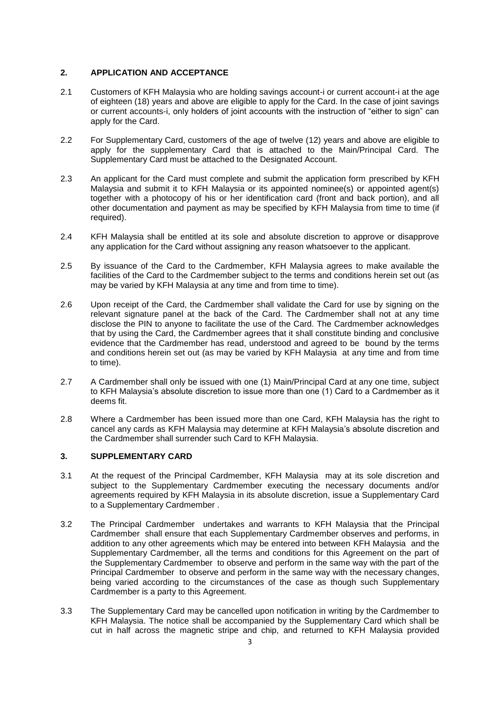# **2. APPLICATION AND ACCEPTANCE**

- 2.1 Customers of KFH Malaysia who are holding savings account-i or current account-i at the age of eighteen (18) years and above are eligible to apply for the Card. In the case of joint savings or current accounts-i, only holders of joint accounts with the instruction of "either to sign" can apply for the Card.
- 2.2 For Supplementary Card, customers of the age of twelve (12) years and above are eligible to apply for the supplementary Card that is attached to the Main/Principal Card. The Supplementary Card must be attached to the Designated Account.
- 2.3 An applicant for the Card must complete and submit the application form prescribed by KFH Malaysia and submit it to KFH Malaysia or its appointed nominee(s) or appointed agent(s) together with a photocopy of his or her identification card (front and back portion), and all other documentation and payment as may be specified by KFH Malaysia from time to time (if required).
- 2.4 KFH Malaysia shall be entitled at its sole and absolute discretion to approve or disapprove any application for the Card without assigning any reason whatsoever to the applicant.
- 2.5 By issuance of the Card to the Cardmember, KFH Malaysia agrees to make available the facilities of the Card to the Cardmember subject to the terms and conditions herein set out (as may be varied by KFH Malaysia at any time and from time to time).
- 2.6 Upon receipt of the Card, the Cardmember shall validate the Card for use by signing on the relevant signature panel at the back of the Card. The Cardmember shall not at any time disclose the PIN to anyone to facilitate the use of the Card. The Cardmember acknowledges that by using the Card, the Cardmember agrees that it shall constitute binding and conclusive evidence that the Cardmember has read, understood and agreed to be bound by the terms and conditions herein set out (as may be varied by KFH Malaysia at any time and from time to time).
- 2.7 A Cardmember shall only be issued with one (1) Main/Principal Card at any one time, subject to KFH Malaysia's absolute discretion to issue more than one (1) Card to a Cardmember as it deems fit.
- 2.8 Where a Cardmember has been issued more than one Card, KFH Malaysia has the right to cancel any cards as KFH Malaysia may determine at KFH Malaysia's absolute discretion and the Cardmember shall surrender such Card to KFH Malaysia.

# **3. SUPPLEMENTARY CARD**

- 3.1 At the request of the Principal Cardmember, KFH Malaysia may at its sole discretion and subject to the Supplementary Cardmember executing the necessary documents and/or agreements required by KFH Malaysia in its absolute discretion, issue a Supplementary Card to a Supplementary Cardmember .
- 3.2 The Principal Cardmember undertakes and warrants to KFH Malaysia that the Principal Cardmember shall ensure that each Supplementary Cardmember observes and performs, in addition to any other agreements which may be entered into between KFH Malaysia and the Supplementary Cardmember, all the terms and conditions for this Agreement on the part of the Supplementary Cardmember to observe and perform in the same way with the part of the Principal Cardmember to observe and perform in the same way with the necessary changes, being varied according to the circumstances of the case as though such Supplementary Cardmember is a party to this Agreement.
- 3.3 The Supplementary Card may be cancelled upon notification in writing by the Cardmember to KFH Malaysia. The notice shall be accompanied by the Supplementary Card which shall be cut in half across the magnetic stripe and chip, and returned to KFH Malaysia provided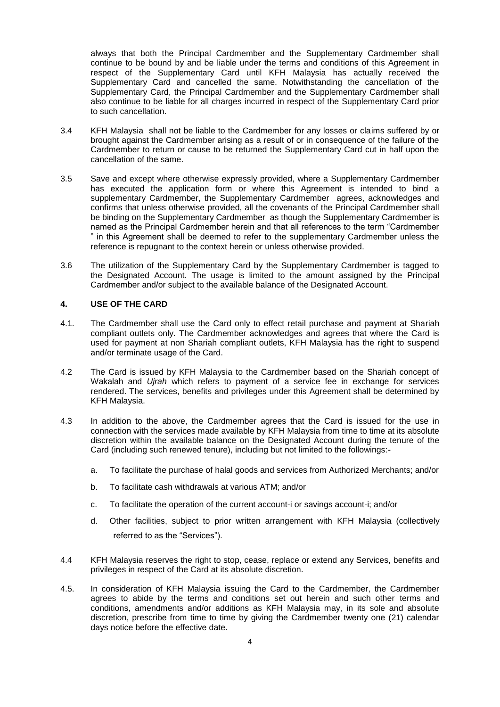always that both the Principal Cardmember and the Supplementary Cardmember shall continue to be bound by and be liable under the terms and conditions of this Agreement in respect of the Supplementary Card until KFH Malaysia has actually received the Supplementary Card and cancelled the same. Notwithstanding the cancellation of the Supplementary Card, the Principal Cardmember and the Supplementary Cardmember shall also continue to be liable for all charges incurred in respect of the Supplementary Card prior to such cancellation.

- 3.4 KFH Malaysia shall not be liable to the Cardmember for any losses or claims suffered by or brought against the Cardmember arising as a result of or in consequence of the failure of the Cardmember to return or cause to be returned the Supplementary Card cut in half upon the cancellation of the same.
- 3.5 Save and except where otherwise expressly provided, where a Supplementary Cardmember has executed the application form or where this Agreement is intended to bind a supplementary Cardmember, the Supplementary Cardmember agrees, acknowledges and confirms that unless otherwise provided, all the covenants of the Principal Cardmember shall be binding on the Supplementary Cardmember as though the Supplementary Cardmember is named as the Principal Cardmember herein and that all references to the term "Cardmember " in this Agreement shall be deemed to refer to the supplementary Cardmember unless the reference is repugnant to the context herein or unless otherwise provided.
- 3.6 The utilization of the Supplementary Card by the Supplementary Cardmember is tagged to the Designated Account. The usage is limited to the amount assigned by the Principal Cardmember and/or subject to the available balance of the Designated Account.

### **4. USE OF THE CARD**

- 4.1. The Cardmember shall use the Card only to effect retail purchase and payment at Shariah compliant outlets only. The Cardmember acknowledges and agrees that where the Card is used for payment at non Shariah compliant outlets, KFH Malaysia has the right to suspend and/or terminate usage of the Card.
- 4.2 The Card is issued by KFH Malaysia to the Cardmember based on the Shariah concept of Wakalah and *Ujrah* which refers to payment of a service fee in exchange for services rendered. The services, benefits and privileges under this Agreement shall be determined by KFH Malaysia.
- 4.3 In addition to the above, the Cardmember agrees that the Card is issued for the use in connection with the services made available by KFH Malaysia from time to time at its absolute discretion within the available balance on the Designated Account during the tenure of the Card (including such renewed tenure), including but not limited to the followings:
	- a. To facilitate the purchase of halal goods and services from Authorized Merchants; and/or
	- b. To facilitate cash withdrawals at various ATM; and/or
	- c. To facilitate the operation of the current account-i or savings account-i; and/or
	- d. Other facilities, subject to prior written arrangement with KFH Malaysia (collectively referred to as the "Services").
- 4.4 KFH Malaysia reserves the right to stop, cease, replace or extend any Services, benefits and privileges in respect of the Card at its absolute discretion.
- 4.5. In consideration of KFH Malaysia issuing the Card to the Cardmember, the Cardmember agrees to abide by the terms and conditions set out herein and such other terms and conditions, amendments and/or additions as KFH Malaysia may, in its sole and absolute discretion, prescribe from time to time by giving the Cardmember twenty one (21) calendar days notice before the effective date.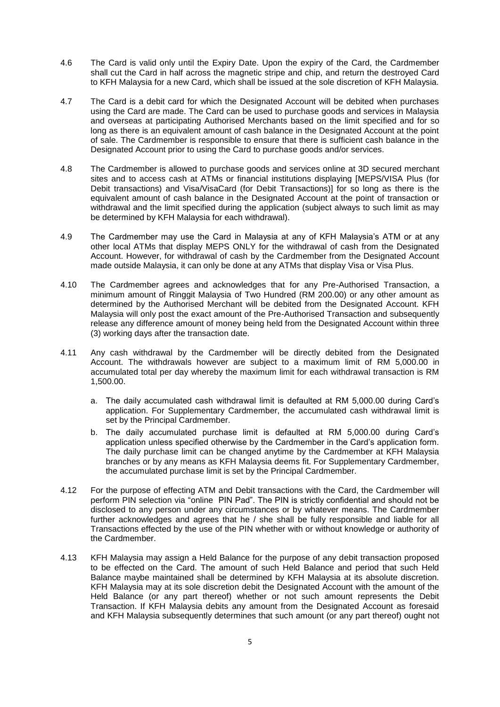- 4.6 The Card is valid only until the Expiry Date. Upon the expiry of the Card, the Cardmember shall cut the Card in half across the magnetic stripe and chip, and return the destroyed Card to KFH Malaysia for a new Card, which shall be issued at the sole discretion of KFH Malaysia.
- 4.7 The Card is a debit card for which the Designated Account will be debited when purchases using the Card are made. The Card can be used to purchase goods and services in Malaysia and overseas at participating Authorised Merchants based on the limit specified and for so long as there is an equivalent amount of cash balance in the Designated Account at the point of sale. The Cardmember is responsible to ensure that there is sufficient cash balance in the Designated Account prior to using the Card to purchase goods and/or services.
- 4.8 The Cardmember is allowed to purchase goods and services online at 3D secured merchant sites and to access cash at ATMs or financial institutions displaying [MEPS/VISA Plus (for Debit transactions) and Visa/VisaCard (for Debit Transactions)] for so long as there is the equivalent amount of cash balance in the Designated Account at the point of transaction or withdrawal and the limit specified during the application (subject always to such limit as may be determined by KFH Malaysia for each withdrawal).
- 4.9 The Cardmember may use the Card in Malaysia at any of KFH Malaysia's ATM or at any other local ATMs that display MEPS ONLY for the withdrawal of cash from the Designated Account. However, for withdrawal of cash by the Cardmember from the Designated Account made outside Malaysia, it can only be done at any ATMs that display Visa or Visa Plus.
- 4.10 The Cardmember agrees and acknowledges that for any Pre-Authorised Transaction, a minimum amount of Ringgit Malaysia of Two Hundred (RM 200.00) or any other amount as determined by the Authorised Merchant will be debited from the Designated Account. KFH Malaysia will only post the exact amount of the Pre-Authorised Transaction and subsequently release any difference amount of money being held from the Designated Account within three (3) working days after the transaction date.
- 4.11 Any cash withdrawal by the Cardmember will be directly debited from the Designated Account. The withdrawals however are subject to a maximum limit of RM 5,000.00 in accumulated total per day whereby the maximum limit for each withdrawal transaction is RM 1,500.00.
	- a. The daily accumulated cash withdrawal limit is defaulted at RM 5,000.00 during Card's application. For Supplementary Cardmember, the accumulated cash withdrawal limit is set by the Principal Cardmember.
	- b. The daily accumulated purchase limit is defaulted at RM 5,000.00 during Card's application unless specified otherwise by the Cardmember in the Card's application form. The daily purchase limit can be changed anytime by the Cardmember at KFH Malaysia branches or by any means as KFH Malaysia deems fit. For Supplementary Cardmember, the accumulated purchase limit is set by the Principal Cardmember.
- 4.12 For the purpose of effecting ATM and Debit transactions with the Card, the Cardmember will perform PIN selection via "online PIN Pad". The PIN is strictly confidential and should not be disclosed to any person under any circumstances or by whatever means. The Cardmember further acknowledges and agrees that he / she shall be fully responsible and liable for all Transactions effected by the use of the PIN whether with or without knowledge or authority of the Cardmember.
- 4.13 KFH Malaysia may assign a Held Balance for the purpose of any debit transaction proposed to be effected on the Card. The amount of such Held Balance and period that such Held Balance maybe maintained shall be determined by KFH Malaysia at its absolute discretion. KFH Malaysia may at its sole discretion debit the Designated Account with the amount of the Held Balance (or any part thereof) whether or not such amount represents the Debit Transaction. If KFH Malaysia debits any amount from the Designated Account as foresaid and KFH Malaysia subsequently determines that such amount (or any part thereof) ought not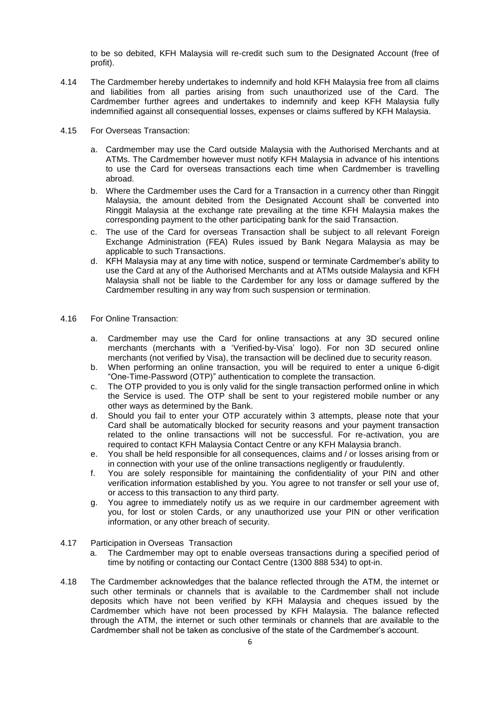to be so debited, KFH Malaysia will re-credit such sum to the Designated Account (free of profit).

- 4.14 The Cardmember hereby undertakes to indemnify and hold KFH Malaysia free from all claims and liabilities from all parties arising from such unauthorized use of the Card. The Cardmember further agrees and undertakes to indemnify and keep KFH Malaysia fully indemnified against all consequential losses, expenses or claims suffered by KFH Malaysia.
- 4.15 For Overseas Transaction:
	- a. Cardmember may use the Card outside Malaysia with the Authorised Merchants and at ATMs. The Cardmember however must notify KFH Malaysia in advance of his intentions to use the Card for overseas transactions each time when Cardmember is travelling abroad.
	- b. Where the Cardmember uses the Card for a Transaction in a currency other than Ringgit Malaysia, the amount debited from the Designated Account shall be converted into Ringgit Malaysia at the exchange rate prevailing at the time KFH Malaysia makes the corresponding payment to the other participating bank for the said Transaction.
	- c. The use of the Card for overseas Transaction shall be subject to all relevant Foreign Exchange Administration (FEA) Rules issued by Bank Negara Malaysia as may be applicable to such Transactions.
	- d. KFH Malaysia may at any time with notice, suspend or terminate Cardmember's ability to use the Card at any of the Authorised Merchants and at ATMs outside Malaysia and KFH Malaysia shall not be liable to the Cardember for any loss or damage suffered by the Cardmember resulting in any way from such suspension or termination.
- 4.16 For Online Transaction:
	- a. Cardmember may use the Card for online transactions at any 3D secured online merchants (merchants with a 'Verified-by-Visa' logo). For non 3D secured online merchants (not verified by Visa), the transaction will be declined due to security reason.
	- b. When performing an online transaction, you will be required to enter a unique 6-digit "One-Time-Password (OTP)" authentication to complete the transaction.
	- c. The OTP provided to you is only valid for the single transaction performed online in which the Service is used. The OTP shall be sent to your registered mobile number or any other ways as determined by the Bank.
	- d. Should you fail to enter your OTP accurately within 3 attempts, please note that your Card shall be automatically blocked for security reasons and your payment transaction related to the online transactions will not be successful. For re-activation, you are required to contact KFH Malaysia Contact Centre or any KFH Malaysia branch.
	- e. You shall be held responsible for all consequences, claims and / or losses arising from or in connection with your use of the online transactions negligently or fraudulently.
	- f. You are solely responsible for maintaining the confidentiality of your PIN and other verification information established by you. You agree to not transfer or sell your use of, or access to this transaction to any third party.
	- g. You agree to immediately notify us as we require in our cardmember agreement with you, for lost or stolen Cards, or any unauthorized use your PIN or other verification information, or any other breach of security.
- 4.17 Participation in Overseas Transaction
	- a. The Cardmember may opt to enable overseas transactions during a specified period of time by notifing or contacting our Contact Centre (1300 888 534) to opt-in.
- 4.18 The Cardmember acknowledges that the balance reflected through the ATM, the internet or such other terminals or channels that is available to the Cardmember shall not include deposits which have not been verified by KFH Malaysia and cheques issued by the Cardmember which have not been processed by KFH Malaysia. The balance reflected through the ATM, the internet or such other terminals or channels that are available to the Cardmember shall not be taken as conclusive of the state of the Cardmember's account.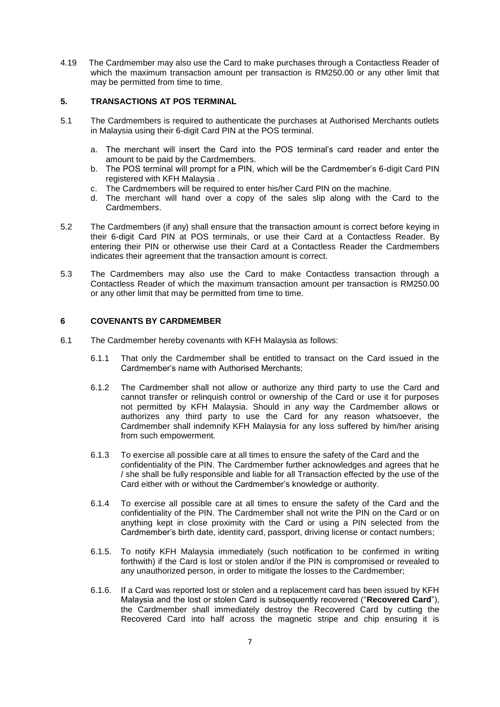4.19 The Cardmember may also use the Card to make purchases through a Contactless Reader of which the maximum transaction amount per transaction is RM250.00 or any other limit that may be permitted from time to time.

## **5. TRANSACTIONS AT POS TERMINAL**

- 5.1 The Cardmembers is required to authenticate the purchases at Authorised Merchants outlets in Malaysia using their 6-digit Card PIN at the POS terminal.
	- a. The merchant will insert the Card into the POS terminal's card reader and enter the amount to be paid by the Cardmembers.
	- b. The POS terminal will prompt for a PIN, which will be the Cardmember's 6-digit Card PIN registered with KFH Malaysia .
	- c. The Cardmembers will be required to enter his/her Card PIN on the machine.
	- d. The merchant will hand over a copy of the sales slip along with the Card to the Cardmembers.
- 5.2 The Cardmembers (if any) shall ensure that the transaction amount is correct before keying in their 6-digit Card PIN at POS terminals, or use their Card at a Contactless Reader. By entering their PIN or otherwise use their Card at a Contactless Reader the Cardmembers indicates their agreement that the transaction amount is correct.
- 5.3 The Cardmembers may also use the Card to make Contactless transaction through a Contactless Reader of which the maximum transaction amount per transaction is RM250.00 or any other limit that may be permitted from time to time.

# **6 COVENANTS BY CARDMEMBER**

- 6.1 The Cardmember hereby covenants with KFH Malaysia as follows:
	- 6.1.1 That only the Cardmember shall be entitled to transact on the Card issued in the Cardmember's name with Authorised Merchants;
	- 6.1.2 The Cardmember shall not allow or authorize any third party to use the Card and cannot transfer or relinquish control or ownership of the Card or use it for purposes not permitted by KFH Malaysia. Should in any way the Cardmember allows or authorizes any third party to use the Card for any reason whatsoever, the Cardmember shall indemnify KFH Malaysia for any loss suffered by him/her arising from such empowerment.
	- 6.1.3 To exercise all possible care at all times to ensure the safety of the Card and the confidentiality of the PIN. The Cardmember further acknowledges and agrees that he / she shall be fully responsible and liable for all Transaction effected by the use of the Card either with or without the Cardmember's knowledge or authority.
	- 6.1.4 To exercise all possible care at all times to ensure the safety of the Card and the confidentiality of the PIN. The Cardmember shall not write the PIN on the Card or on anything kept in close proximity with the Card or using a PIN selected from the Cardmember's birth date, identity card, passport, driving license or contact numbers;
	- 6.1.5. To notify KFH Malaysia immediately (such notification to be confirmed in writing forthwith) if the Card is lost or stolen and/or if the PIN is compromised or revealed to any unauthorized person, in order to mitigate the losses to the Cardmember;
	- 6.1.6. If a Card was reported lost or stolen and a replacement card has been issued by KFH Malaysia and the lost or stolen Card is subsequently recovered ("**Recovered Card**"), the Cardmember shall immediately destroy the Recovered Card by cutting the Recovered Card into half across the magnetic stripe and chip ensuring it is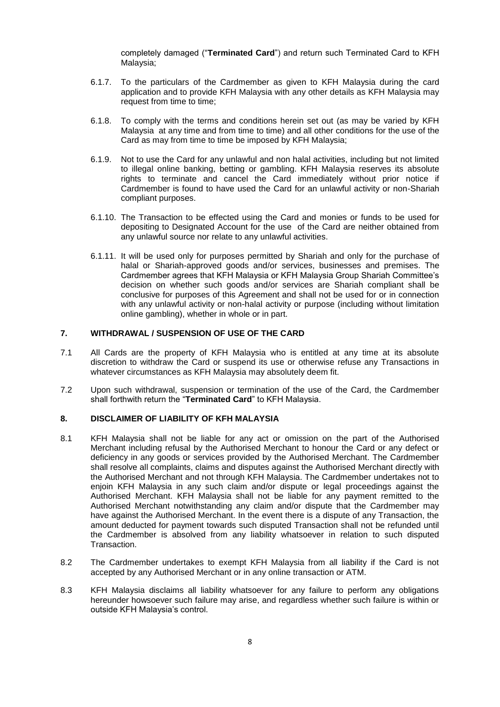completely damaged ("**Terminated Card**") and return such Terminated Card to KFH Malaysia;

- 6.1.7. To the particulars of the Cardmember as given to KFH Malaysia during the card application and to provide KFH Malaysia with any other details as KFH Malaysia may request from time to time;
- 6.1.8. To comply with the terms and conditions herein set out (as may be varied by KFH Malaysia at any time and from time to time) and all other conditions for the use of the Card as may from time to time be imposed by KFH Malaysia;
- 6.1.9. Not to use the Card for any unlawful and non halal activities, including but not limited to illegal online banking, betting or gambling. KFH Malaysia reserves its absolute rights to terminate and cancel the Card immediately without prior notice if Cardmember is found to have used the Card for an unlawful activity or non-Shariah compliant purposes.
- 6.1.10. The Transaction to be effected using the Card and monies or funds to be used for depositing to Designated Account for the use of the Card are neither obtained from any unlawful source nor relate to any unlawful activities.
- 6.1.11. It will be used only for purposes permitted by Shariah and only for the purchase of halal or Shariah-approved goods and/or services, businesses and premises. The Cardmember agrees that KFH Malaysia or KFH Malaysia Group Shariah Committee's decision on whether such goods and/or services are Shariah compliant shall be conclusive for purposes of this Agreement and shall not be used for or in connection with any unlawful activity or non-halal activity or purpose (including without limitation online gambling), whether in whole or in part.

# **7. WITHDRAWAL / SUSPENSION OF USE OF THE CARD**

- 7.1 All Cards are the property of KFH Malaysia who is entitled at any time at its absolute discretion to withdraw the Card or suspend its use or otherwise refuse any Transactions in whatever circumstances as KFH Malaysia may absolutely deem fit.
- 7.2 Upon such withdrawal, suspension or termination of the use of the Card, the Cardmember shall forthwith return the "**Terminated Card**" to KFH Malaysia.

## **8. DISCLAIMER OF LIABILITY OF KFH MALAYSIA**

- 8.1 KFH Malaysia shall not be liable for any act or omission on the part of the Authorised Merchant including refusal by the Authorised Merchant to honour the Card or any defect or deficiency in any goods or services provided by the Authorised Merchant. The Cardmember shall resolve all complaints, claims and disputes against the Authorised Merchant directly with the Authorised Merchant and not through KFH Malaysia. The Cardmember undertakes not to enjoin KFH Malaysia in any such claim and/or dispute or legal proceedings against the Authorised Merchant. KFH Malaysia shall not be liable for any payment remitted to the Authorised Merchant notwithstanding any claim and/or dispute that the Cardmember may have against the Authorised Merchant. In the event there is a dispute of any Transaction, the amount deducted for payment towards such disputed Transaction shall not be refunded until the Cardmember is absolved from any liability whatsoever in relation to such disputed Transaction.
- 8.2 The Cardmember undertakes to exempt KFH Malaysia from all liability if the Card is not accepted by any Authorised Merchant or in any online transaction or ATM.
- 8.3 KFH Malaysia disclaims all liability whatsoever for any failure to perform any obligations hereunder howsoever such failure may arise, and regardless whether such failure is within or outside KFH Malaysia's control.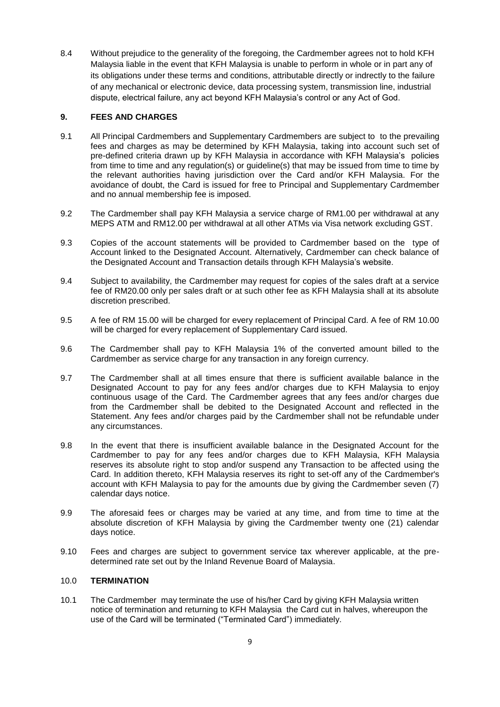8.4 Without prejudice to the generality of the foregoing, the Cardmember agrees not to hold KFH Malaysia liable in the event that KFH Malaysia is unable to perform in whole or in part any of its obligations under these terms and conditions, attributable directly or indrectly to the failure of any mechanical or electronic device, data processing system, transmission line, industrial dispute, electrical failure, any act beyond KFH Malaysia's control or any Act of God.

# **9. FEES AND CHARGES**

- 9.1 All Principal Cardmembers and Supplementary Cardmembers are subject to to the prevailing fees and charges as may be determined by KFH Malaysia, taking into account such set of pre-defined criteria drawn up by KFH Malaysia in accordance with KFH Malaysia's policies from time to time and any regulation(s) or guideline(s) that may be issued from time to time by the relevant authorities having jurisdiction over the Card and/or KFH Malaysia. For the avoidance of doubt, the Card is issued for free to Principal and Supplementary Cardmember and no annual membership fee is imposed.
- 9.2 The Cardmember shall pay KFH Malaysia a service charge of RM1.00 per withdrawal at any MEPS ATM and RM12.00 per withdrawal at all other ATMs via Visa network excluding GST.
- 9.3 Copies of the account statements will be provided to Cardmember based on the type of Account linked to the Designated Account. Alternatively, Cardmember can check balance of the Designated Account and Transaction details through KFH Malaysia's website.
- 9.4 Subject to availability, the Cardmember may request for copies of the sales draft at a service fee of RM20.00 only per sales draft or at such other fee as KFH Malaysia shall at its absolute discretion prescribed.
- 9.5 A fee of RM 15.00 will be charged for every replacement of Principal Card. A fee of RM 10.00 will be charged for every replacement of Supplementary Card issued.
- 9.6 The Cardmember shall pay to KFH Malaysia 1% of the converted amount billed to the Cardmember as service charge for any transaction in any foreign currency.
- 9.7 The Cardmember shall at all times ensure that there is sufficient available balance in the Designated Account to pay for any fees and/or charges due to KFH Malaysia to enjoy continuous usage of the Card. The Cardmember agrees that any fees and/or charges due from the Cardmember shall be debited to the Designated Account and reflected in the Statement. Any fees and/or charges paid by the Cardmember shall not be refundable under any circumstances.
- 9.8 In the event that there is insufficient available balance in the Designated Account for the Cardmember to pay for any fees and/or charges due to KFH Malaysia, KFH Malaysia reserves its absolute right to stop and/or suspend any Transaction to be affected using the Card. In addition thereto, KFH Malaysia reserves its right to set-off any of the Cardmember's account with KFH Malaysia to pay for the amounts due by giving the Cardmember seven (7) calendar days notice.
- 9.9 The aforesaid fees or charges may be varied at any time, and from time to time at the absolute discretion of KFH Malaysia by giving the Cardmember twenty one (21) calendar days notice.
- 9.10 Fees and charges are subject to government service tax wherever applicable, at the predetermined rate set out by the Inland Revenue Board of Malaysia.

## 10.0 **TERMINATION**

10.1 The Cardmember may terminate the use of his/her Card by giving KFH Malaysia written notice of termination and returning to KFH Malaysia the Card cut in halves, whereupon the use of the Card will be terminated ("Terminated Card") immediately.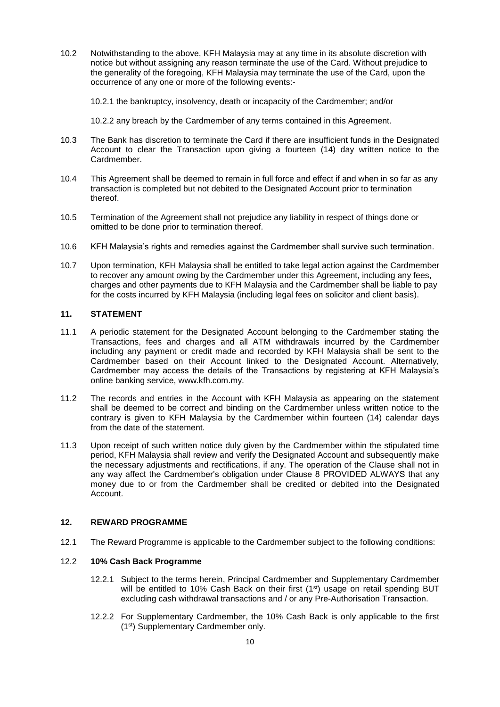10.2 Notwithstanding to the above, KFH Malaysia may at any time in its absolute discretion with notice but without assigning any reason terminate the use of the Card. Without prejudice to the generality of the foregoing, KFH Malaysia may terminate the use of the Card, upon the occurrence of any one or more of the following events:-

10.2.1 the bankruptcy, insolvency, death or incapacity of the Cardmember; and/or

10.2.2 any breach by the Cardmember of any terms contained in this Agreement.

- 10.3 The Bank has discretion to terminate the Card if there are insufficient funds in the Designated Account to clear the Transaction upon giving a fourteen (14) day written notice to the Cardmember.
- 10.4 This Agreement shall be deemed to remain in full force and effect if and when in so far as any transaction is completed but not debited to the Designated Account prior to termination thereof.
- 10.5 Termination of the Agreement shall not prejudice any liability in respect of things done or omitted to be done prior to termination thereof.
- 10.6 KFH Malaysia's rights and remedies against the Cardmember shall survive such termination.
- 10.7 Upon termination, KFH Malaysia shall be entitled to take legal action against the Cardmember to recover any amount owing by the Cardmember under this Agreement, including any fees, charges and other payments due to KFH Malaysia and the Cardmember shall be liable to pay for the costs incurred by KFH Malaysia (including legal fees on solicitor and client basis).

### **11. STATEMENT**

- 11.1 A periodic statement for the Designated Account belonging to the Cardmember stating the Transactions, fees and charges and all ATM withdrawals incurred by the Cardmember including any payment or credit made and recorded by KFH Malaysia shall be sent to the Cardmember based on their Account linked to the Designated Account. Alternatively, Cardmember may access the details of the Transactions by registering at KFH Malaysia's online banking service, www.kfh.com.my.
- 11.2 The records and entries in the Account with KFH Malaysia as appearing on the statement shall be deemed to be correct and binding on the Cardmember unless written notice to the contrary is given to KFH Malaysia by the Cardmember within fourteen (14) calendar days from the date of the statement.
- 11.3 Upon receipt of such written notice duly given by the Cardmember within the stipulated time period, KFH Malaysia shall review and verify the Designated Account and subsequently make the necessary adjustments and rectifications, if any. The operation of the Clause shall not in any way affect the Cardmember's obligation under Clause 8 PROVIDED ALWAYS that any money due to or from the Cardmember shall be credited or debited into the Designated Account.

### **12. REWARD PROGRAMME**

12.1 The Reward Programme is applicable to the Cardmember subject to the following conditions:

## 12.2 **10% Cash Back Programme**

- 12.2.1 Subject to the terms herein, Principal Cardmember and Supplementary Cardmember will be entitled to 10% Cash Back on their first (1<sup>st</sup>) usage on retail spending BUT excluding cash withdrawal transactions and / or any Pre-Authorisation Transaction.
- 12.2.2 For Supplementary Cardmember, the 10% Cash Back is only applicable to the first (1st) Supplementary Cardmember only.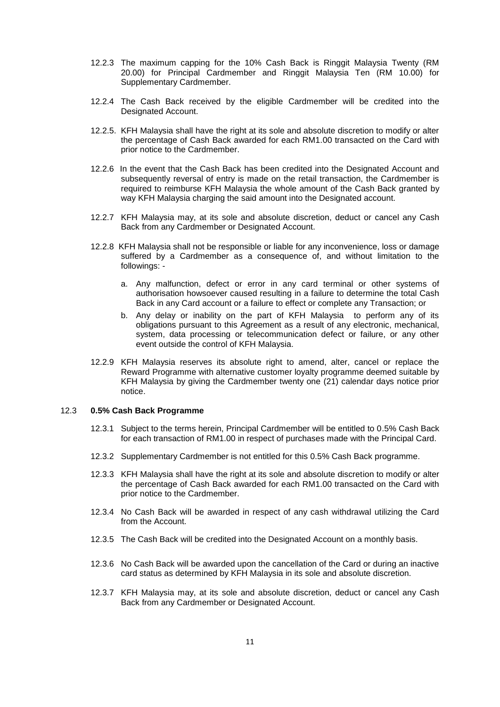- 12.2.3 The maximum capping for the 10% Cash Back is Ringgit Malaysia Twenty (RM 20.00) for Principal Cardmember and Ringgit Malaysia Ten (RM 10.00) for Supplementary Cardmember.
- 12.2.4 The Cash Back received by the eligible Cardmember will be credited into the Designated Account.
- 12.2.5. KFH Malaysia shall have the right at its sole and absolute discretion to modify or alter the percentage of Cash Back awarded for each RM1.00 transacted on the Card with prior notice to the Cardmember.
- 12.2.6 In the event that the Cash Back has been credited into the Designated Account and subsequently reversal of entry is made on the retail transaction, the Cardmember is required to reimburse KFH Malaysia the whole amount of the Cash Back granted by way KFH Malaysia charging the said amount into the Designated account.
- 12.2.7 KFH Malaysia may, at its sole and absolute discretion, deduct or cancel any Cash Back from any Cardmember or Designated Account.
- 12.2.8 KFH Malaysia shall not be responsible or liable for any inconvenience, loss or damage suffered by a Cardmember as a consequence of, and without limitation to the followings:
	- a. Any malfunction, defect or error in any card terminal or other systems of authorisation howsoever caused resulting in a failure to determine the total Cash Back in any Card account or a failure to effect or complete any Transaction; or
	- b. Any delay or inability on the part of KFH Malaysia to perform any of its obligations pursuant to this Agreement as a result of any electronic, mechanical, system, data processing or telecommunication defect or failure, or any other event outside the control of KFH Malaysia.
- 12.2.9 KFH Malaysia reserves its absolute right to amend, alter, cancel or replace the Reward Programme with alternative customer loyalty programme deemed suitable by KFH Malaysia by giving the Cardmember twenty one (21) calendar days notice prior notice.

# 12.3 **0.5% Cash Back Programme**

- 12.3.1 Subject to the terms herein, Principal Cardmember will be entitled to 0.5% Cash Back for each transaction of RM1.00 in respect of purchases made with the Principal Card.
- 12.3.2 Supplementary Cardmember is not entitled for this 0.5% Cash Back programme.
- 12.3.3 KFH Malaysia shall have the right at its sole and absolute discretion to modify or alter the percentage of Cash Back awarded for each RM1.00 transacted on the Card with prior notice to the Cardmember.
- 12.3.4 No Cash Back will be awarded in respect of any cash withdrawal utilizing the Card from the Account.
- 12.3.5 The Cash Back will be credited into the Designated Account on a monthly basis.
- 12.3.6 No Cash Back will be awarded upon the cancellation of the Card or during an inactive card status as determined by KFH Malaysia in its sole and absolute discretion.
- 12.3.7 KFH Malaysia may, at its sole and absolute discretion, deduct or cancel any Cash Back from any Cardmember or Designated Account.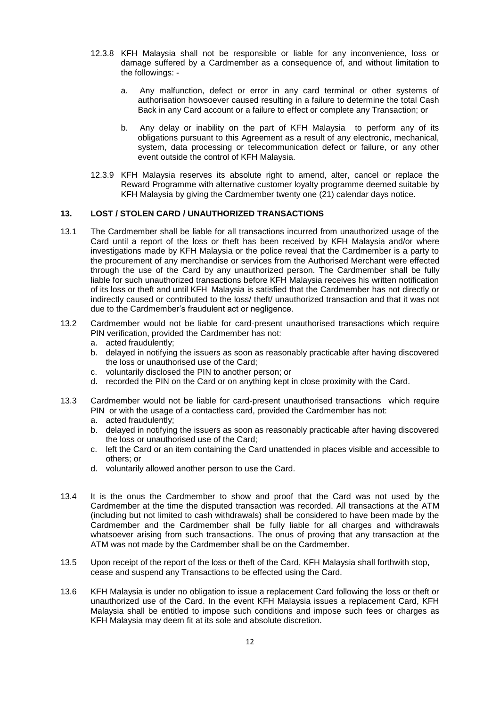- 12.3.8 KFH Malaysia shall not be responsible or liable for any inconvenience, loss or damage suffered by a Cardmember as a consequence of, and without limitation to the followings:
	- a. Any malfunction, defect or error in any card terminal or other systems of authorisation howsoever caused resulting in a failure to determine the total Cash Back in any Card account or a failure to effect or complete any Transaction; or
	- b. Any delay or inability on the part of KFH Malaysia to perform any of its obligations pursuant to this Agreement as a result of any electronic, mechanical, system, data processing or telecommunication defect or failure, or any other event outside the control of KFH Malaysia.
- 12.3.9 KFH Malaysia reserves its absolute right to amend, alter, cancel or replace the Reward Programme with alternative customer loyalty programme deemed suitable by KFH Malaysia by giving the Cardmember twenty one (21) calendar days notice.

### **13. LOST / STOLEN CARD / UNAUTHORIZED TRANSACTIONS**

13.1 The Cardmember shall be liable for all transactions incurred from unauthorized usage of the Card until a report of the loss or theft has been received by KFH Malaysia and/or where investigations made by KFH Malaysia or the police reveal that the Cardmember is a party to the procurement of any merchandise or services from the Authorised Merchant were effected through the use of the Card by any unauthorized person. The Cardmember shall be fully liable for such unauthorized transactions before KFH Malaysia receives his written notification of its loss or theft and until KFH Malaysia is satisfied that the Cardmember has not directly or indirectly caused or contributed to the loss/ theft/ unauthorized transaction and that it was not due to the Cardmember's fraudulent act or negligence.

### 13.2 Cardmember would not be liable for card-present unauthorised transactions which require PIN verification, provided the Cardmember has not:

- a. acted fraudulently;
- b. delayed in notifying the issuers as soon as reasonably practicable after having discovered the loss or unauthorised use of the Card;
- c. voluntarily disclosed the PIN to another person; or
- d. recorded the PIN on the Card or on anything kept in close proximity with the Card.
- 13.3 Cardmember would not be liable for card-present unauthorised transactions which require PIN or with the usage of a contactless card, provided the Cardmember has not:
	- a. acted fraudulently;
	- b. delayed in notifying the issuers as soon as reasonably practicable after having discovered the loss or unauthorised use of the Card;
	- c. left the Card or an item containing the Card unattended in places visible and accessible to others; or
	- d. voluntarily allowed another person to use the Card.
- 13.4 It is the onus the Cardmember to show and proof that the Card was not used by the Cardmember at the time the disputed transaction was recorded. All transactions at the ATM (including but not limited to cash withdrawals) shall be considered to have been made by the Cardmember and the Cardmember shall be fully liable for all charges and withdrawals whatsoever arising from such transactions. The onus of proving that any transaction at the ATM was not made by the Cardmember shall be on the Cardmember.
- 13.5 Upon receipt of the report of the loss or theft of the Card, KFH Malaysia shall forthwith stop, cease and suspend any Transactions to be effected using the Card.
- 13.6 KFH Malaysia is under no obligation to issue a replacement Card following the loss or theft or unauthorized use of the Card. In the event KFH Malaysia issues a replacement Card, KFH Malaysia shall be entitled to impose such conditions and impose such fees or charges as KFH Malaysia may deem fit at its sole and absolute discretion.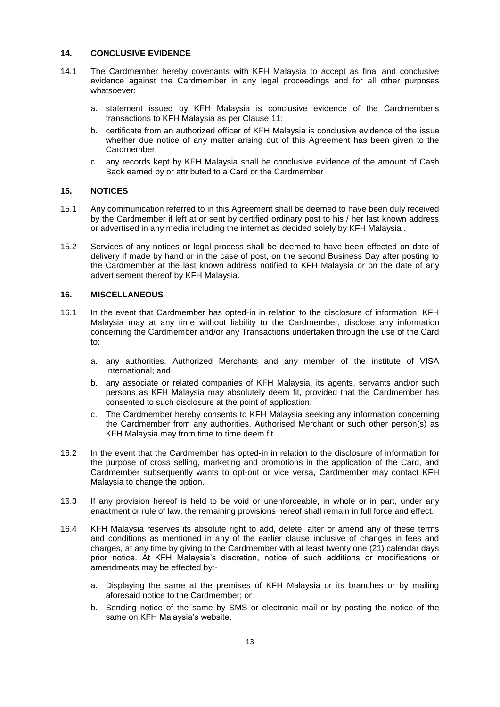## **14. CONCLUSIVE EVIDENCE**

- 14.1 The Cardmember hereby covenants with KFH Malaysia to accept as final and conclusive evidence against the Cardmember in any legal proceedings and for all other purposes whatsoever:
	- a. statement issued by KFH Malaysia is conclusive evidence of the Cardmember's transactions to KFH Malaysia as per Clause 11;
	- b. certificate from an authorized officer of KFH Malaysia is conclusive evidence of the issue whether due notice of any matter arising out of this Agreement has been given to the Cardmember;
	- c. any records kept by KFH Malaysia shall be conclusive evidence of the amount of Cash Back earned by or attributed to a Card or the Cardmember

### **15. NOTICES**

- 15.1 Any communication referred to in this Agreement shall be deemed to have been duly received by the Cardmember if left at or sent by certified ordinary post to his / her last known address or advertised in any media including the internet as decided solely by KFH Malaysia .
- 15.2 Services of any notices or legal process shall be deemed to have been effected on date of delivery if made by hand or in the case of post, on the second Business Day after posting to the Cardmember at the last known address notified to KFH Malaysia or on the date of any advertisement thereof by KFH Malaysia.

### **16. MISCELLANEOUS**

- 16.1 In the event that Cardmember has opted-in in relation to the disclosure of information, KFH Malaysia may at any time without liability to the Cardmember, disclose any information concerning the Cardmember and/or any Transactions undertaken through the use of the Card to:
	- a. any authorities, Authorized Merchants and any member of the institute of VISA International; and
	- b. any associate or related companies of KFH Malaysia, its agents, servants and/or such persons as KFH Malaysia may absolutely deem fit, provided that the Cardmember has consented to such disclosure at the point of application.
	- c. The Cardmember hereby consents to KFH Malaysia seeking any information concerning the Cardmember from any authorities, Authorised Merchant or such other person(s) as KFH Malaysia may from time to time deem fit.
- 16.2 In the event that the Cardmember has opted-in in relation to the disclosure of information for the purpose of cross selling, marketing and promotions in the application of the Card, and Cardmember subsequently wants to opt-out or vice versa, Cardmember may contact KFH Malaysia to change the option.
- 16.3 If any provision hereof is held to be void or unenforceable, in whole or in part, under any enactment or rule of law, the remaining provisions hereof shall remain in full force and effect.
- 16.4 KFH Malaysia reserves its absolute right to add, delete, alter or amend any of these terms and conditions as mentioned in any of the earlier clause inclusive of changes in fees and charges, at any time by giving to the Cardmember with at least twenty one (21) calendar days prior notice. At KFH Malaysia's discretion, notice of such additions or modifications or amendments may be effected by:
	- a. Displaying the same at the premises of KFH Malaysia or its branches or by mailing aforesaid notice to the Cardmember; or
	- b. Sending notice of the same by SMS or electronic mail or by posting the notice of the same on KFH Malaysia's website.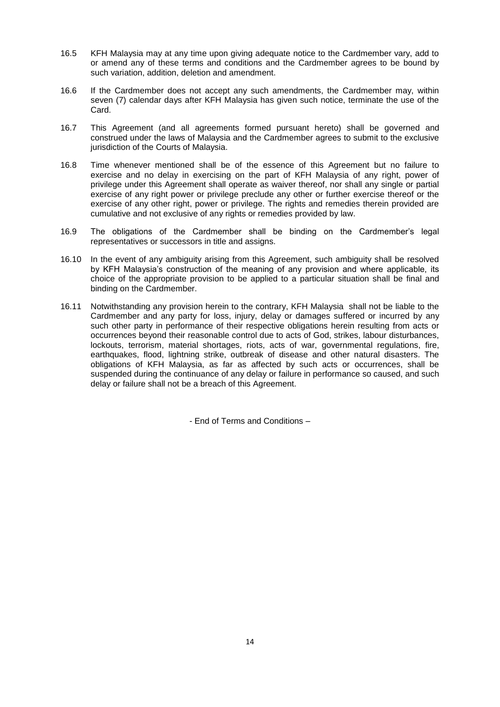- 16.5 KFH Malaysia may at any time upon giving adequate notice to the Cardmember vary, add to or amend any of these terms and conditions and the Cardmember agrees to be bound by such variation, addition, deletion and amendment.
- 16.6 If the Cardmember does not accept any such amendments, the Cardmember may, within seven (7) calendar days after KFH Malaysia has given such notice, terminate the use of the Card.
- 16.7 This Agreement (and all agreements formed pursuant hereto) shall be governed and construed under the laws of Malaysia and the Cardmember agrees to submit to the exclusive jurisdiction of the Courts of Malaysia.
- 16.8 Time whenever mentioned shall be of the essence of this Agreement but no failure to exercise and no delay in exercising on the part of KFH Malaysia of any right, power of privilege under this Agreement shall operate as waiver thereof, nor shall any single or partial exercise of any right power or privilege preclude any other or further exercise thereof or the exercise of any other right, power or privilege. The rights and remedies therein provided are cumulative and not exclusive of any rights or remedies provided by law.
- 16.9 The obligations of the Cardmember shall be binding on the Cardmember's legal representatives or successors in title and assigns.
- 16.10 In the event of any ambiguity arising from this Agreement, such ambiguity shall be resolved by KFH Malaysia's construction of the meaning of any provision and where applicable, its choice of the appropriate provision to be applied to a particular situation shall be final and binding on the Cardmember.
- 16.11 Notwithstanding any provision herein to the contrary, KFH Malaysia shall not be liable to the Cardmember and any party for loss, injury, delay or damages suffered or incurred by any such other party in performance of their respective obligations herein resulting from acts or occurrences beyond their reasonable control due to acts of God, strikes, labour disturbances, lockouts, terrorism, material shortages, riots, acts of war, governmental regulations, fire, earthquakes, flood, lightning strike, outbreak of disease and other natural disasters. The obligations of KFH Malaysia, as far as affected by such acts or occurrences, shall be suspended during the continuance of any delay or failure in performance so caused, and such delay or failure shall not be a breach of this Agreement.

- End of Terms and Conditions –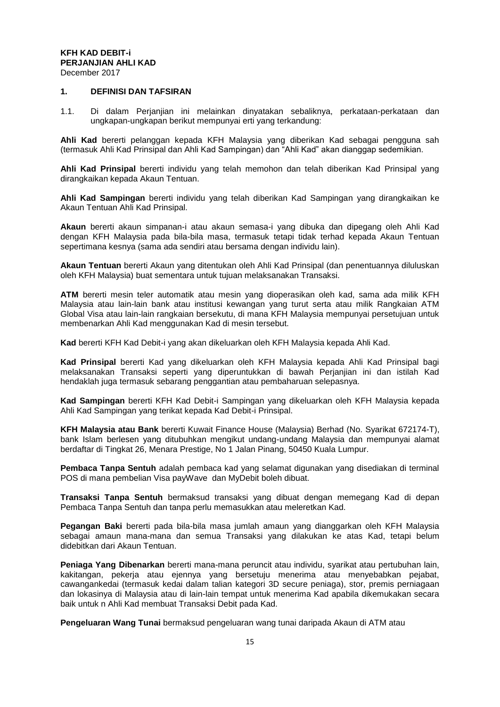# **KFH KAD DEBIT-i PERJANJIAN AHLI KAD**

December 2017

## **1. DEFINISI DAN TAFSIRAN**

1.1. Di dalam Perjanjian ini melainkan dinyatakan sebaliknya, perkataan-perkataan dan ungkapan-ungkapan berikut mempunyai erti yang terkandung:

**Ahli Kad** bererti pelanggan kepada KFH Malaysia yang diberikan Kad sebagai pengguna sah (termasuk Ahli Kad Prinsipal dan Ahli Kad Sampingan) dan "Ahli Kad" akan dianggap sedemikian.

**Ahli Kad Prinsipal** bererti individu yang telah memohon dan telah diberikan Kad Prinsipal yang dirangkaikan kepada Akaun Tentuan.

**Ahli Kad Sampingan** bererti individu yang telah diberikan Kad Sampingan yang dirangkaikan ke Akaun Tentuan Ahli Kad Prinsipal.

**Akaun** bererti akaun simpanan-i atau akaun semasa-i yang dibuka dan dipegang oleh Ahli Kad dengan KFH Malaysia pada bila-bila masa, termasuk tetapi tidak terhad kepada Akaun Tentuan sepertimana kesnya (sama ada sendiri atau bersama dengan individu lain).

**Akaun Tentuan** bererti Akaun yang ditentukan oleh Ahli Kad Prinsipal (dan penentuannya diluluskan oleh KFH Malaysia) buat sementara untuk tujuan melaksanakan Transaksi.

**ATM** bererti mesin teler automatik atau mesin yang dioperasikan oleh kad, sama ada milik KFH Malaysia atau lain-lain bank atau institusi kewangan yang turut serta atau milik Rangkaian ATM Global Visa atau lain-lain rangkaian bersekutu, di mana KFH Malaysia mempunyai persetujuan untuk membenarkan Ahli Kad menggunakan Kad di mesin tersebut.

**Kad** bererti KFH Kad Debit-i yang akan dikeluarkan oleh KFH Malaysia kepada Ahli Kad.

**Kad Prinsipal** bererti Kad yang dikeluarkan oleh KFH Malaysia kepada Ahli Kad Prinsipal bagi melaksanakan Transaksi seperti yang diperuntukkan di bawah Perjanjian ini dan istilah Kad hendaklah juga termasuk sebarang penggantian atau pembaharuan selepasnya.

**Kad Sampingan** bererti KFH Kad Debit-i Sampingan yang dikeluarkan oleh KFH Malaysia kepada Ahli Kad Sampingan yang terikat kepada Kad Debit-i Prinsipal.

**KFH Malaysia atau Bank** bererti Kuwait Finance House (Malaysia) Berhad (No. Syarikat 672174-T), bank Islam berlesen yang ditubuhkan mengikut undang-undang Malaysia dan mempunyai alamat berdaftar di Tingkat 26, Menara Prestige, No 1 Jalan Pinang, 50450 Kuala Lumpur.

**Pembaca Tanpa Sentuh** adalah pembaca kad yang selamat digunakan yang disediakan di terminal POS di mana pembelian Visa payWave dan MyDebit boleh dibuat.

**Transaksi Tanpa Sentuh** bermaksud transaksi yang dibuat dengan memegang Kad di depan Pembaca Tanpa Sentuh dan tanpa perlu memasukkan atau meleretkan Kad.

**Pegangan Baki** bererti pada bila-bila masa jumlah amaun yang dianggarkan oleh KFH Malaysia sebagai amaun mana-mana dan semua Transaksi yang dilakukan ke atas Kad, tetapi belum didebitkan dari Akaun Tentuan.

**Peniaga Yang Dibenarkan** bererti mana-mana peruncit atau individu, syarikat atau pertubuhan lain, kakitangan, pekerja atau ejennya yang bersetuju menerima atau menyebabkan pejabat, cawangankedai (termasuk kedai dalam talian kategori 3D secure peniaga), stor, premis perniagaan dan lokasinya di Malaysia atau di lain-lain tempat untuk menerima Kad apabila dikemukakan secara baik untuk n Ahli Kad membuat Transaksi Debit pada Kad.

**Pengeluaran Wang Tunai** bermaksud pengeluaran wang tunai daripada Akaun di ATM atau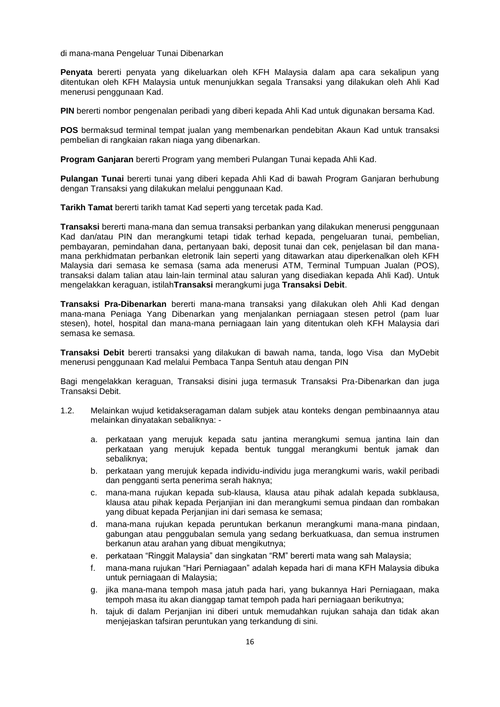di mana-mana Pengeluar Tunai Dibenarkan

**Penyata** bererti penyata yang dikeluarkan oleh KFH Malaysia dalam apa cara sekalipun yang ditentukan oleh KFH Malaysia untuk menunjukkan segala Transaksi yang dilakukan oleh Ahli Kad menerusi penggunaan Kad.

**PIN** bererti nombor pengenalan peribadi yang diberi kepada Ahli Kad untuk digunakan bersama Kad.

**POS** bermaksud terminal tempat jualan yang membenarkan pendebitan Akaun Kad untuk transaksi pembelian di rangkaian rakan niaga yang dibenarkan.

**Program Ganjaran** bererti Program yang memberi Pulangan Tunai kepada Ahli Kad.

**Pulangan Tunai** bererti tunai yang diberi kepada Ahli Kad di bawah Program Ganjaran berhubung dengan Transaksi yang dilakukan melalui penggunaan Kad.

**Tarikh Tamat** bererti tarikh tamat Kad seperti yang tercetak pada Kad.

**Transaksi** bererti mana-mana dan semua transaksi perbankan yang dilakukan menerusi penggunaan Kad dan/atau PIN dan merangkumi tetapi tidak terhad kepada, pengeluaran tunai, pembelian, pembayaran, pemindahan dana, pertanyaan baki, deposit tunai dan cek, penjelasan bil dan manamana perkhidmatan perbankan eletronik lain seperti yang ditawarkan atau diperkenalkan oleh KFH Malaysia dari semasa ke semasa (sama ada menerusi ATM, Terminal Tumpuan Jualan (POS), transaksi dalam talian atau lain-lain terminal atau saluran yang disediakan kepada Ahli Kad). Untuk mengelakkan keraguan, istilah**Transaksi** merangkumi juga **Transaksi Debit**.

**Transaksi Pra-Dibenarkan** bererti mana-mana transaksi yang dilakukan oleh Ahli Kad dengan mana-mana Peniaga Yang Dibenarkan yang menjalankan perniagaan stesen petrol (pam luar stesen), hotel, hospital dan mana-mana perniagaan lain yang ditentukan oleh KFH Malaysia dari semasa ke semasa.

**Transaksi Debit** bererti transaksi yang dilakukan di bawah nama, tanda, logo Visa dan MyDebit menerusi penggunaan Kad melalui Pembaca Tanpa Sentuh atau dengan PIN

Bagi mengelakkan keraguan, Transaksi disini juga termasuk Transaksi Pra-Dibenarkan dan juga Transaksi Debit.

- 1.2. Melainkan wujud ketidakseragaman dalam subjek atau konteks dengan pembinaannya atau melainkan dinyatakan sebaliknya:
	- a. perkataan yang merujuk kepada satu jantina merangkumi semua jantina lain dan perkataan yang merujuk kepada bentuk tunggal merangkumi bentuk jamak dan sebaliknya;
	- b. perkataan yang merujuk kepada individu-individu juga merangkumi waris, wakil peribadi dan pengganti serta penerima serah haknya;
	- c. mana-mana rujukan kepada sub-klausa, klausa atau pihak adalah kepada subklausa, klausa atau pihak kepada Perjanjian ini dan merangkumi semua pindaan dan rombakan yang dibuat kepada Perjanjian ini dari semasa ke semasa;
	- d. mana-mana rujukan kepada peruntukan berkanun merangkumi mana-mana pindaan, gabungan atau penggubalan semula yang sedang berkuatkuasa, dan semua instrumen berkanun atau arahan yang dibuat mengikutnya;
	- e. perkataan "Ringgit Malaysia" dan singkatan "RM" bererti mata wang sah Malaysia;
	- f. mana-mana rujukan "Hari Perniagaan" adalah kepada hari di mana KFH Malaysia dibuka untuk perniagaan di Malaysia;
	- g. jika mana-mana tempoh masa jatuh pada hari, yang bukannya Hari Perniagaan, maka tempoh masa itu akan dianggap tamat tempoh pada hari perniagaan berikutnya;
	- h. tajuk di dalam Perjanjian ini diberi untuk memudahkan rujukan sahaja dan tidak akan menjejaskan tafsiran peruntukan yang terkandung di sini.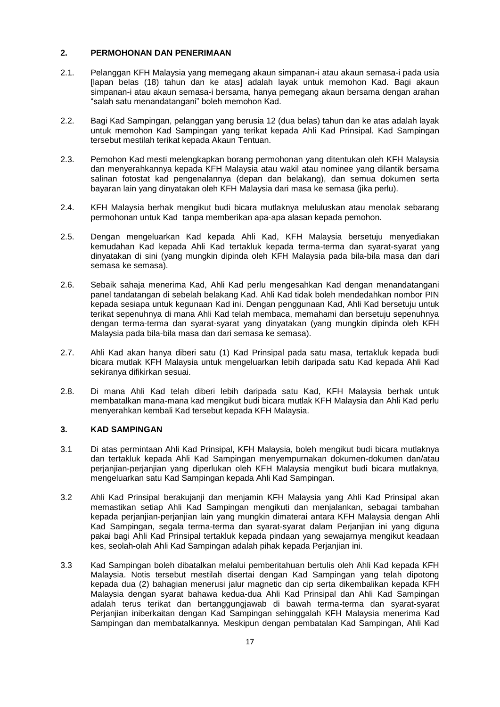## **2. PERMOHONAN DAN PENERIMAAN**

- 2.1. Pelanggan KFH Malaysia yang memegang akaun simpanan-i atau akaun semasa-i pada usia [lapan belas (18) tahun dan ke atas] adalah layak untuk memohon Kad. Bagi akaun simpanan-i atau akaun semasa-i bersama, hanya pemegang akaun bersama dengan arahan "salah satu menandatangani" boleh memohon Kad.
- 2.2. Bagi Kad Sampingan, pelanggan yang berusia 12 (dua belas) tahun dan ke atas adalah layak untuk memohon Kad Sampingan yang terikat kepada Ahli Kad Prinsipal. Kad Sampingan tersebut mestilah terikat kepada Akaun Tentuan.
- 2.3. Pemohon Kad mesti melengkapkan borang permohonan yang ditentukan oleh KFH Malaysia dan menyerahkannya kepada KFH Malaysia atau wakil atau nominee yang dilantik bersama salinan fotostat kad pengenalannya (depan dan belakang), dan semua dokumen serta bayaran lain yang dinyatakan oleh KFH Malaysia dari masa ke semasa (jika perlu).
- 2.4. KFH Malaysia berhak mengikut budi bicara mutlaknya meluluskan atau menolak sebarang permohonan untuk Kad tanpa memberikan apa-apa alasan kepada pemohon.
- 2.5. Dengan mengeluarkan Kad kepada Ahli Kad, KFH Malaysia bersetuju menyediakan kemudahan Kad kepada Ahli Kad tertakluk kepada terma-terma dan syarat-syarat yang dinyatakan di sini (yang mungkin dipinda oleh KFH Malaysia pada bila-bila masa dan dari semasa ke semasa).
- 2.6. Sebaik sahaja menerima Kad, Ahli Kad perlu mengesahkan Kad dengan menandatangani panel tandatangan di sebelah belakang Kad. Ahli Kad tidak boleh mendedahkan nombor PIN kepada sesiapa untuk kegunaan Kad ini. Dengan penggunaan Kad, Ahli Kad bersetuju untuk terikat sepenuhnya di mana Ahli Kad telah membaca, memahami dan bersetuju sepenuhnya dengan terma-terma dan syarat-syarat yang dinyatakan (yang mungkin dipinda oleh KFH Malaysia pada bila-bila masa dan dari semasa ke semasa).
- 2.7. Ahli Kad akan hanya diberi satu (1) Kad Prinsipal pada satu masa, tertakluk kepada budi bicara mutlak KFH Malaysia untuk mengeluarkan lebih daripada satu Kad kepada Ahli Kad sekiranya difikirkan sesuai.
- 2.8. Di mana Ahli Kad telah diberi lebih daripada satu Kad, KFH Malaysia berhak untuk membatalkan mana-mana kad mengikut budi bicara mutlak KFH Malaysia dan Ahli Kad perlu menyerahkan kembali Kad tersebut kepada KFH Malaysia.

# **3. KAD SAMPINGAN**

- 3.1 Di atas permintaan Ahli Kad Prinsipal, KFH Malaysia, boleh mengikut budi bicara mutlaknya dan tertakluk kepada Ahli Kad Sampingan menyempurnakan dokumen-dokumen dan/atau perjanjian-perjanjian yang diperlukan oleh KFH Malaysia mengikut budi bicara mutlaknya, mengeluarkan satu Kad Sampingan kepada Ahli Kad Sampingan.
- 3.2 Ahli Kad Prinsipal berakujanji dan menjamin KFH Malaysia yang Ahli Kad Prinsipal akan memastikan setiap Ahli Kad Sampingan mengikuti dan menjalankan, sebagai tambahan kepada perjanjian-perjanjian lain yang mungkin dimaterai antara KFH Malaysia dengan Ahli Kad Sampingan, segala terma-terma dan syarat-syarat dalam Perjanjian ini yang diguna pakai bagi Ahli Kad Prinsipal tertakluk kepada pindaan yang sewajarnya mengikut keadaan kes, seolah-olah Ahli Kad Sampingan adalah pihak kepada Perjanjian ini.
- 3.3 Kad Sampingan boleh dibatalkan melalui pemberitahuan bertulis oleh Ahli Kad kepada KFH Malaysia. Notis tersebut mestilah disertai dengan Kad Sampingan yang telah dipotong kepada dua (2) bahagian menerusi jalur magnetic dan cip serta dikembalikan kepada KFH Malaysia dengan syarat bahawa kedua-dua Ahli Kad Prinsipal dan Ahli Kad Sampingan adalah terus terikat dan bertanggungjawab di bawah terma-terma dan syarat-syarat Perjanjian iniberkaitan dengan Kad Sampingan sehinggalah KFH Malaysia menerima Kad Sampingan dan membatalkannya. Meskipun dengan pembatalan Kad Sampingan, Ahli Kad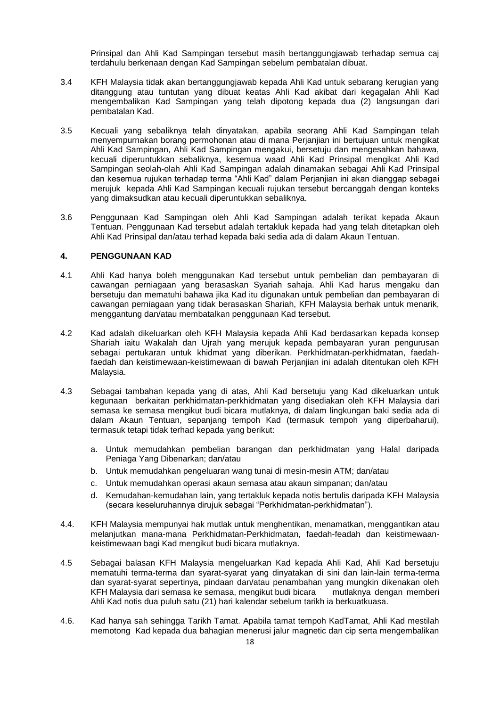Prinsipal dan Ahli Kad Sampingan tersebut masih bertanggungjawab terhadap semua caj terdahulu berkenaan dengan Kad Sampingan sebelum pembatalan dibuat.

- 3.4 KFH Malaysia tidak akan bertanggungjawab kepada Ahli Kad untuk sebarang kerugian yang ditanggung atau tuntutan yang dibuat keatas Ahli Kad akibat dari kegagalan Ahli Kad mengembalikan Kad Sampingan yang telah dipotong kepada dua (2) langsungan dari pembatalan Kad.
- 3.5 Kecuali yang sebaliknya telah dinyatakan, apabila seorang Ahli Kad Sampingan telah menyempurnakan borang permohonan atau di mana Perjanjian ini bertujuan untuk mengikat Ahli Kad Sampingan, Ahli Kad Sampingan mengakui, bersetuju dan mengesahkan bahawa, kecuali diperuntukkan sebaliknya, kesemua waad Ahli Kad Prinsipal mengikat Ahli Kad Sampingan seolah-olah Ahli Kad Sampingan adalah dinamakan sebagai Ahli Kad Prinsipal dan kesemua rujukan terhadap terma "Ahli Kad" dalam Perjanjian ini akan dianggap sebagai merujuk kepada Ahli Kad Sampingan kecuali rujukan tersebut bercanggah dengan konteks yang dimaksudkan atau kecuali diperuntukkan sebaliknya.
- 3.6 Penggunaan Kad Sampingan oleh Ahli Kad Sampingan adalah terikat kepada Akaun Tentuan. Penggunaan Kad tersebut adalah tertakluk kepada had yang telah ditetapkan oleh Ahli Kad Prinsipal dan/atau terhad kepada baki sedia ada di dalam Akaun Tentuan.

## **4. PENGGUNAAN KAD**

- 4.1 Ahli Kad hanya boleh menggunakan Kad tersebut untuk pembelian dan pembayaran di cawangan perniagaan yang berasaskan Syariah sahaja. Ahli Kad harus mengaku dan bersetuju dan mematuhi bahawa jika Kad itu digunakan untuk pembelian dan pembayaran di cawangan perniagaan yang tidak berasaskan Shariah, KFH Malaysia berhak untuk menarik, menggantung dan/atau membatalkan penggunaan Kad tersebut.
- 4.2 Kad adalah dikeluarkan oleh KFH Malaysia kepada Ahli Kad berdasarkan kepada konsep Shariah iaitu Wakalah dan Ujrah yang merujuk kepada pembayaran yuran pengurusan sebagai pertukaran untuk khidmat yang diberikan. Perkhidmatan-perkhidmatan, faedahfaedah dan keistimewaan-keistimewaan di bawah Perjanjian ini adalah ditentukan oleh KFH Malaysia.
- 4.3 Sebagai tambahan kepada yang di atas, Ahli Kad bersetuju yang Kad dikeluarkan untuk kegunaan berkaitan perkhidmatan-perkhidmatan yang disediakan oleh KFH Malaysia dari semasa ke semasa mengikut budi bicara mutlaknya, di dalam lingkungan baki sedia ada di dalam Akaun Tentuan, sepanjang tempoh Kad (termasuk tempoh yang diperbaharui), termasuk tetapi tidak terhad kepada yang berikut:
	- a. Untuk memudahkan pembelian barangan dan perkhidmatan yang Halal daripada Peniaga Yang Dibenarkan; dan/atau
	- b. Untuk memudahkan pengeluaran wang tunai di mesin-mesin ATM; dan/atau
	- c. Untuk memudahkan operasi akaun semasa atau akaun simpanan; dan/atau
	- d. Kemudahan-kemudahan lain, yang tertakluk kepada notis bertulis daripada KFH Malaysia (secara keseluruhannya dirujuk sebagai "Perkhidmatan-perkhidmatan").
- 4.4. KFH Malaysia mempunyai hak mutlak untuk menghentikan, menamatkan, menggantikan atau melanjutkan mana-mana Perkhidmatan-Perkhidmatan, faedah-feadah dan keistimewaankeistimewaan bagi Kad mengikut budi bicara mutlaknya.
- 4.5 Sebagai balasan KFH Malaysia mengeluarkan Kad kepada Ahli Kad, Ahli Kad bersetuju mematuhi terma-terma dan syarat-syarat yang dinyatakan di sini dan lain-lain terma-terma dan syarat-syarat sepertinya, pindaan dan/atau penambahan yang mungkin dikenakan oleh KFH Malaysia dari semasa ke semasa, mengikut budi bicara mutlaknya dengan memberi Ahli Kad notis dua puluh satu (21) hari kalendar sebelum tarikh ia berkuatkuasa.
- 4.6. Kad hanya sah sehingga Tarikh Tamat. Apabila tamat tempoh KadTamat, Ahli Kad mestilah memotong Kad kepada dua bahagian menerusi jalur magnetic dan cip serta mengembalikan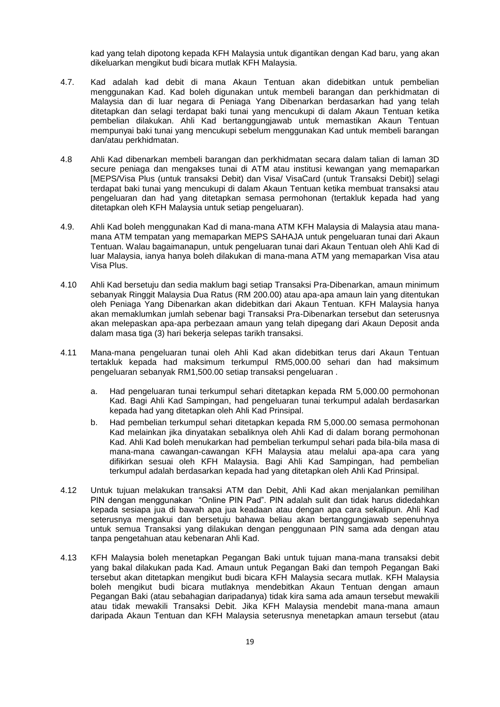kad yang telah dipotong kepada KFH Malaysia untuk digantikan dengan Kad baru, yang akan dikeluarkan mengikut budi bicara mutlak KFH Malaysia.

- 4.7. Kad adalah kad debit di mana Akaun Tentuan akan didebitkan untuk pembelian menggunakan Kad. Kad boleh digunakan untuk membeli barangan dan perkhidmatan di Malaysia dan di luar negara di Peniaga Yang Dibenarkan berdasarkan had yang telah ditetapkan dan selagi terdapat baki tunai yang mencukupi di dalam Akaun Tentuan ketika pembelian dilakukan. Ahli Kad bertanggungjawab untuk memastikan Akaun Tentuan mempunyai baki tunai yang mencukupi sebelum menggunakan Kad untuk membeli barangan dan/atau perkhidmatan.
- 4.8 Ahli Kad dibenarkan membeli barangan dan perkhidmatan secara dalam talian di laman 3D secure peniaga dan mengakses tunai di ATM atau institusi kewangan yang memaparkan [MEPS/Visa Plus (untuk transaksi Debit) dan Visa/ VisaCard (untuk Transaksi Debit)] selagi terdapat baki tunai yang mencukupi di dalam Akaun Tentuan ketika membuat transaksi atau pengeluaran dan had yang ditetapkan semasa permohonan (tertakluk kepada had yang ditetapkan oleh KFH Malaysia untuk setiap pengeluaran).
- 4.9. Ahli Kad boleh menggunakan Kad di mana-mana ATM KFH Malaysia di Malaysia atau manamana ATM tempatan yang memaparkan MEPS SAHAJA untuk pengeluaran tunai dari Akaun Tentuan. Walau bagaimanapun, untuk pengeluaran tunai dari Akaun Tentuan oleh Ahli Kad di luar Malaysia, ianya hanya boleh dilakukan di mana-mana ATM yang memaparkan Visa atau Visa Plus.
- 4.10 Ahli Kad bersetuju dan sedia maklum bagi setiap Transaksi Pra-Dibenarkan, amaun minimum sebanyak Ringgit Malaysia Dua Ratus (RM 200.00) atau apa-apa amaun lain yang ditentukan oleh Peniaga Yang Dibenarkan akan didebitkan dari Akaun Tentuan. KFH Malaysia hanya akan memaklumkan jumlah sebenar bagi Transaksi Pra-Dibenarkan tersebut dan seterusnya akan melepaskan apa-apa perbezaan amaun yang telah dipegang dari Akaun Deposit anda dalam masa tiga (3) hari bekerja selepas tarikh transaksi.
- 4.11 Mana-mana pengeluaran tunai oleh Ahli Kad akan didebitkan terus dari Akaun Tentuan tertakluk kepada had maksimum terkumpul RM5,000.00 sehari dan had maksimum pengeluaran sebanyak RM1,500.00 setiap transaksi pengeluaran .
	- a. Had pengeluaran tunai terkumpul sehari ditetapkan kepada RM 5,000.00 permohonan Kad. Bagi Ahli Kad Sampingan, had pengeluaran tunai terkumpul adalah berdasarkan kepada had yang ditetapkan oleh Ahli Kad Prinsipal.
	- b. Had pembelian terkumpul sehari ditetapkan kepada RM 5,000.00 semasa permohonan Kad melainkan jika dinyatakan sebaliknya oleh Ahli Kad di dalam borang permohonan Kad. Ahli Kad boleh menukarkan had pembelian terkumpul sehari pada bila-bila masa di mana-mana cawangan-cawangan KFH Malaysia atau melalui apa-apa cara yang difikirkan sesuai oleh KFH Malaysia. Bagi Ahli Kad Sampingan, had pembelian terkumpul adalah berdasarkan kepada had yang ditetapkan oleh Ahli Kad Prinsipal.
- 4.12 Untuk tujuan melakukan transaksi ATM dan Debit, Ahli Kad akan menjalankan pemilihan PIN dengan menggunakan "Online PIN Pad". PIN adalah sulit dan tidak harus didedahkan kepada sesiapa jua di bawah apa jua keadaan atau dengan apa cara sekalipun. Ahli Kad seterusnya mengakui dan bersetuju bahawa beliau akan bertanggungjawab sepenuhnya untuk semua Transaksi yang dilakukan dengan penggunaan PIN sama ada dengan atau tanpa pengetahuan atau kebenaran Ahli Kad.
- 4.13 KFH Malaysia boleh menetapkan Pegangan Baki untuk tujuan mana-mana transaksi debit yang bakal dilakukan pada Kad. Amaun untuk Pegangan Baki dan tempoh Pegangan Baki tersebut akan ditetapkan mengikut budi bicara KFH Malaysia secara mutlak. KFH Malaysia boleh mengikut budi bicara mutlaknya mendebitkan Akaun Tentuan dengan amaun Pegangan Baki (atau sebahagian daripadanya) tidak kira sama ada amaun tersebut mewakili atau tidak mewakili Transaksi Debit. Jika KFH Malaysia mendebit mana-mana amaun daripada Akaun Tentuan dan KFH Malaysia seterusnya menetapkan amaun tersebut (atau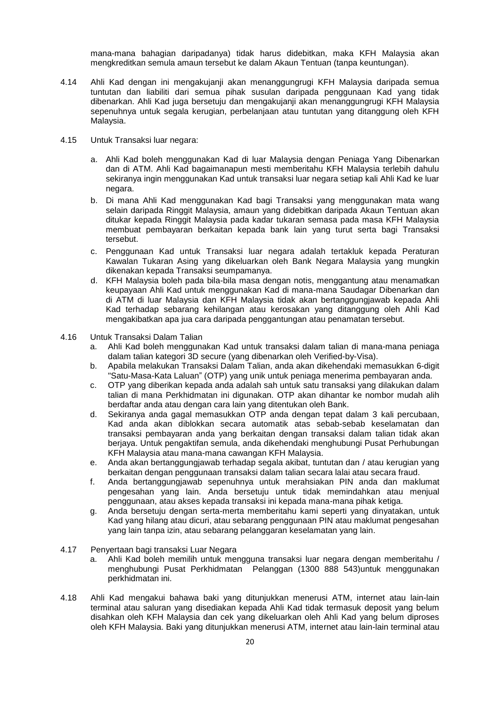mana-mana bahagian daripadanya) tidak harus didebitkan, maka KFH Malaysia akan mengkreditkan semula amaun tersebut ke dalam Akaun Tentuan (tanpa keuntungan).

- 4.14 Ahli Kad dengan ini mengakujanji akan menanggungrugi KFH Malaysia daripada semua tuntutan dan liabiliti dari semua pihak susulan daripada penggunaan Kad yang tidak dibenarkan. Ahli Kad juga bersetuju dan mengakujanji akan menanggungrugi KFH Malaysia sepenuhnya untuk segala kerugian, perbelanjaan atau tuntutan yang ditanggung oleh KFH Malaysia.
- 4.15 Untuk Transaksi luar negara:
	- a. Ahli Kad boleh menggunakan Kad di luar Malaysia dengan Peniaga Yang Dibenarkan dan di ATM. Ahli Kad bagaimanapun mesti memberitahu KFH Malaysia terlebih dahulu sekiranya ingin menggunakan Kad untuk transaksi luar negara setiap kali Ahli Kad ke luar negara.
	- b. Di mana Ahli Kad menggunakan Kad bagi Transaksi yang menggunakan mata wang selain daripada Ringgit Malaysia, amaun yang didebitkan daripada Akaun Tentuan akan ditukar kepada Ringgit Malaysia pada kadar tukaran semasa pada masa KFH Malaysia membuat pembayaran berkaitan kepada bank lain yang turut serta bagi Transaksi tersebut.
	- c. Penggunaan Kad untuk Transaksi luar negara adalah tertakluk kepada Peraturan Kawalan Tukaran Asing yang dikeluarkan oleh Bank Negara Malaysia yang mungkin dikenakan kepada Transaksi seumpamanya.
	- d. KFH Malaysia boleh pada bila-bila masa dengan notis, menggantung atau menamatkan keupayaan Ahli Kad untuk menggunakan Kad di mana-mana Saudagar Dibenarkan dan di ATM di luar Malaysia dan KFH Malaysia tidak akan bertanggungjawab kepada Ahli Kad terhadap sebarang kehilangan atau kerosakan yang ditanggung oleh Ahli Kad mengakibatkan apa jua cara daripada penggantungan atau penamatan tersebut.
- 4.16 Untuk Transaksi Dalam Talian
	- a. Ahli Kad boleh menggunakan Kad untuk transaksi dalam talian di mana-mana peniaga dalam talian kategori 3D secure (yang dibenarkan oleh Verified-by-Visa).
	- b. Apabila melakukan Transaksi Dalam Talian, anda akan dikehendaki memasukkan 6-digit "Satu-Masa-Kata Laluan" (OTP) yang unik untuk peniaga menerima pembayaran anda.
	- c. OTP yang diberikan kepada anda adalah sah untuk satu transaksi yang dilakukan dalam talian di mana Perkhidmatan ini digunakan. OTP akan dihantar ke nombor mudah alih berdaftar anda atau dengan cara lain yang ditentukan oleh Bank.
	- d. Sekiranya anda gagal memasukkan OTP anda dengan tepat dalam 3 kali percubaan, Kad anda akan diblokkan secara automatik atas sebab-sebab keselamatan dan transaksi pembayaran anda yang berkaitan dengan transaksi dalam talian tidak akan berjaya. Untuk pengaktifan semula, anda dikehendaki menghubungi Pusat Perhubungan KFH Malaysia atau mana-mana cawangan KFH Malaysia.
	- e. Anda akan bertanggungjawab terhadap segala akibat, tuntutan dan / atau kerugian yang berkaitan dengan penggunaan transaksi dalam talian secara lalai atau secara fraud.
	- f. Anda bertanggungjawab sepenuhnya untuk merahsiakan PIN anda dan maklumat pengesahan yang lain. Anda bersetuju untuk tidak memindahkan atau menjual penggunaan, atau akses kepada transaksi ini kepada mana-mana pihak ketiga.
	- g. Anda bersetuju dengan serta-merta memberitahu kami seperti yang dinyatakan, untuk Kad yang hilang atau dicuri, atau sebarang penggunaan PIN atau maklumat pengesahan yang lain tanpa izin, atau sebarang pelanggaran keselamatan yang lain.
- 4.17 Penyertaan bagi transaksi Luar Negara
	- a. Ahli Kad boleh memilih untuk mengguna transaksi luar negara dengan memberitahu / menghubungi Pusat Perkhidmatan Pelanggan (1300 888 543)untuk menggunakan perkhidmatan ini.
- 4.18 Ahli Kad mengakui bahawa baki yang ditunjukkan menerusi ATM, internet atau lain-lain terminal atau saluran yang disediakan kepada Ahli Kad tidak termasuk deposit yang belum disahkan oleh KFH Malaysia dan cek yang dikeluarkan oleh Ahli Kad yang belum diproses oleh KFH Malaysia. Baki yang ditunjukkan menerusi ATM, internet atau lain-lain terminal atau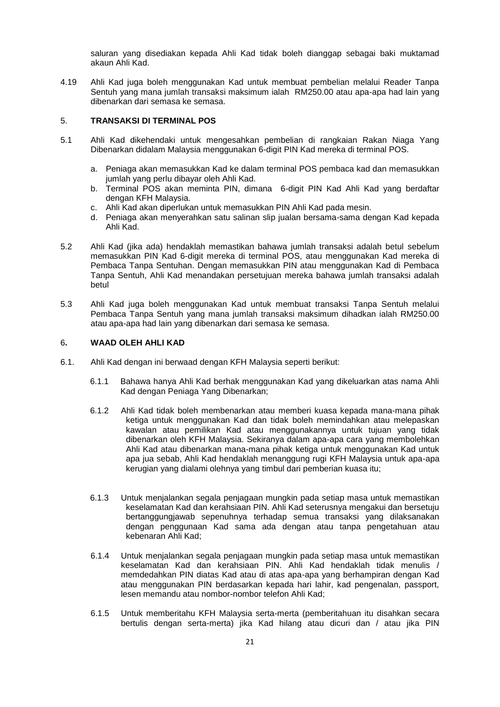saluran yang disediakan kepada Ahli Kad tidak boleh dianggap sebagai baki muktamad akaun Ahli Kad.

4.19 Ahli Kad juga boleh menggunakan Kad untuk membuat pembelian melalui Reader Tanpa Sentuh yang mana jumlah transaksi maksimum ialah RM250.00 atau apa-apa had lain yang dibenarkan dari semasa ke semasa.

#### 5. **TRANSAKSI DI TERMINAL POS**

- 5.1 Ahli Kad dikehendaki untuk mengesahkan pembelian di rangkaian Rakan Niaga Yang Dibenarkan didalam Malaysia menggunakan 6-digit PIN Kad mereka di terminal POS.
	- a. Peniaga akan memasukkan Kad ke dalam terminal POS pembaca kad dan memasukkan jumlah yang perlu dibayar oleh Ahli Kad.
	- b. Terminal POS akan meminta PIN, dimana 6-digit PIN Kad Ahli Kad yang berdaftar dengan KFH Malaysia.
	- c. Ahli Kad akan diperlukan untuk memasukkan PIN Ahli Kad pada mesin.
	- d. Peniaga akan menyerahkan satu salinan slip jualan bersama-sama dengan Kad kepada Ahli Kad.
- 5.2 Ahli Kad (jika ada) hendaklah memastikan bahawa jumlah transaksi adalah betul sebelum memasukkan PIN Kad 6-digit mereka di terminal POS, atau menggunakan Kad mereka di Pembaca Tanpa Sentuhan. Dengan memasukkan PIN atau menggunakan Kad di Pembaca Tanpa Sentuh, Ahli Kad menandakan persetujuan mereka bahawa jumlah transaksi adalah betul
- 5.3 Ahli Kad juga boleh menggunakan Kad untuk membuat transaksi Tanpa Sentuh melalui Pembaca Tanpa Sentuh yang mana jumlah transaksi maksimum dihadkan ialah RM250.00 atau apa-apa had lain yang dibenarkan dari semasa ke semasa.

## 6**. WAAD OLEH AHLI KAD**

- 6.1. Ahli Kad dengan ini berwaad dengan KFH Malaysia seperti berikut:
	- 6.1.1 Bahawa hanya Ahli Kad berhak menggunakan Kad yang dikeluarkan atas nama Ahli Kad dengan Peniaga Yang Dibenarkan;
	- 6.1.2 Ahli Kad tidak boleh membenarkan atau memberi kuasa kepada mana-mana pihak ketiga untuk menggunakan Kad dan tidak boleh memindahkan atau melepaskan kawalan atau pemilikan Kad atau menggunakannya untuk tujuan yang tidak dibenarkan oleh KFH Malaysia. Sekiranya dalam apa-apa cara yang membolehkan Ahli Kad atau dibenarkan mana-mana pihak ketiga untuk menggunakan Kad untuk apa jua sebab, Ahli Kad hendaklah menanggung rugi KFH Malaysia untuk apa-apa kerugian yang dialami olehnya yang timbul dari pemberian kuasa itu;
	- 6.1.3 Untuk menjalankan segala penjagaan mungkin pada setiap masa untuk memastikan keselamatan Kad dan kerahsiaan PIN. Ahli Kad seterusnya mengakui dan bersetuju bertanggungjawab sepenuhnya terhadap semua transaksi yang dilaksanakan dengan penggunaan Kad sama ada dengan atau tanpa pengetahuan atau kebenaran Ahli Kad;
	- 6.1.4 Untuk menjalankan segala penjagaan mungkin pada setiap masa untuk memastikan keselamatan Kad dan kerahsiaan PIN. Ahli Kad hendaklah tidak menulis / memdedahkan PIN diatas Kad atau di atas apa-apa yang berhampiran dengan Kad atau menggunakan PIN berdasarkan kepada hari lahir, kad pengenalan, passport, lesen memandu atau nombor-nombor telefon Ahli Kad;
	- 6.1.5 Untuk memberitahu KFH Malaysia serta-merta (pemberitahuan itu disahkan secara bertulis dengan serta-merta) jika Kad hilang atau dicuri dan / atau jika PIN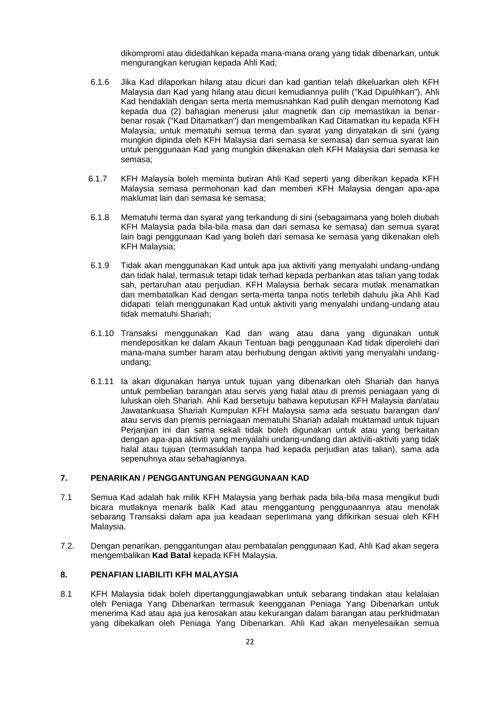dikompromi atau didedahkan kepada mana-mana orang yang tidak dibenarkan, untuk mengurangkan kerugian kepada Ahli Kad;

- 6.1.6 Jika Kad dilaporkan hilang atau dicuri dan kad gantian telah dikeluarkan oleh KFH Malaysia dan Kad yang hilang atau dicuri kemudiannya pulih ("Kad Dipulihkan"), Ahli Kad hendaklah dengan serta merta memusnahkan Kad pulih dengan memotong Kad kepada dua (2) bahagian menerusi jalur magnetik dan cip memastikan ia benarbenar rosak ("Kad Ditamatkan") dan mengembalikan Kad Ditamatkan itu kepada KFH Malaysia; untuk mematuhi semua terma dan syarat yang dinyatakan di sini (yang mungkin dipinda oleh KFH Malaysia dari semasa ke semasa) dan semua syarat lain untuk penggunaan Kad yang mungkin dikenakan oleh KFH Malaysia dari semasa ke semasa;
- 6.1.7 KFH Malaysia boleh meminta butiran Ahli Kad seperti yang diberikan kepada KFH Malaysia semasa permohonan kad dan memberi KFH Malaysia dengan apa-apa maklumat lain dari semasa ke semasa;
- 6.1.8 Mematuhi terma dan syarat yang terkandung di sini (sebagaimana yang boleh diubah KFH Malaysia pada bila-bila masa dan dari semasa ke semasa) dan semua syarat lain bagi penggunaan Kad yang boleh dari semasa ke semasa yang dikenakan oleh KFH Malaysia;
- 6.1.9 Tidak akan menggunakan Kad untuk apa jua aktiviti yang menyalahi undang-undang dan tidak halal, termasuk tetapi tidak terhad kepada perbankan atas talian yang todak sah, pertaruhan atau perjudian. KFH Malaysia berhak secara mutlak menamatkan dan membatalkan Kad dengan serta-merta tanpa notis terlebih dahulu jika Ahli Kad didapati telah menggunakan Kad untuk aktiviti yang menyalahi undang-undang atau tidak mematuhi Shariah;
- 6.1.10 Transaksi menggunakan Kad dan wang atau dana yang digunakan untuk mendepositkan ke dalam Akaun Tentuan bagi penggunaan Kad tidak diperolehi dari mana-mana sumber haram atau berhubung dengan aktiviti yang menyalahi undangundang;
- 6.1.11 Ia akan digunakan hanya untuk tujuan yang dibenarkan oleh Shariah dan hanya untuk pembelian barangan atau servis yang halal atau di premis peniagaan yang di luluskan oleh Shariah. Ahli Kad bersetuju bahawa keputusan KFH Malaysia dan/atau Jawatankuasa Shariah Kumpulan KFH Malaysia sama ada sesuatu barangan dan/ atau servis dan premis perniagaan mematuhi Shariah adalah muktamad untuk tujuan Perjanjian ini dan sama sekali tidak boleh digunakan untuk atau yang berkaitan dengan apa-apa aktiviti yang menyalahi undang-undang dan aktiviti-aktiviti yang tidak halal atau tujuan (termasuklah tanpa had kepada perjudian atas talian), sama ada sepenuhnya atau sebahagiannya.

## **7. PENARIKAN / PENGGANTUNGAN PENGGUNAAN KAD**

- 7.1 Semua Kad adalah hak milik KFH Malaysia yang berhak pada bila-bila masa mengikut budi bicara mutlaknya menarik balik Kad atau menggantung penggunaannya atau menolak sebarang Transaksi dalam apa jua keadaan sepertimana yang difikirkan sesuai oleh KFH Malaysia.
- 7.2. Dengan penarikan, penggantungan atau pembatalan penggunaan Kad, Ahli Kad akan segera mengembalikan **Kad Batal** kepada KFH Malaysia.

## **8. PENAFIAN LIABILITI KFH MALAYSIA**

8.1 KFH Malaysia tidak boleh dipertanggungjawabkan untuk sebarang tindakan atau kelalaian oleh Peniaga Yang Dibenarkan termasuk keengganan Peniaga Yang Dibenarkan untuk menerima Kad atau apa jua kerosakan atau kekurangan dalam barangan atau perkhidmatan yang dibekalkan oleh Peniaga Yang Dibenarkan. Ahli Kad akan menyelesaikan semua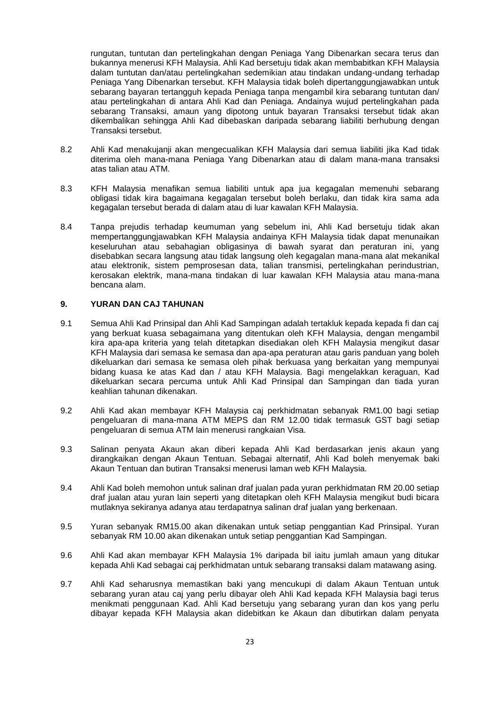rungutan, tuntutan dan pertelingkahan dengan Peniaga Yang Dibenarkan secara terus dan bukannya menerusi KFH Malaysia. Ahli Kad bersetuju tidak akan membabitkan KFH Malaysia dalam tuntutan dan/atau pertelingkahan sedemikian atau tindakan undang-undang terhadap Peniaga Yang Dibenarkan tersebut. KFH Malaysia tidak boleh dipertanggungjawabkan untuk sebarang bayaran tertangguh kepada Peniaga tanpa mengambil kira sebarang tuntutan dan/ atau pertelingkahan di antara Ahli Kad dan Peniaga. Andainya wujud pertelingkahan pada sebarang Transaksi, amaun yang dipotong untuk bayaran Transaksi tersebut tidak akan dikembalikan sehingga Ahli Kad dibebaskan daripada sebarang liabiliti berhubung dengan Transaksi tersebut.

- 8.2 Ahli Kad menakujanji akan mengecualikan KFH Malaysia dari semua liabiliti jika Kad tidak diterima oleh mana-mana Peniaga Yang Dibenarkan atau di dalam mana-mana transaksi atas talian atau ATM.
- 8.3 KFH Malaysia menafikan semua liabiliti untuk apa jua kegagalan memenuhi sebarang obligasi tidak kira bagaimana kegagalan tersebut boleh berlaku, dan tidak kira sama ada kegagalan tersebut berada di dalam atau di luar kawalan KFH Malaysia.
- 8.4 Tanpa prejudis terhadap keumuman yang sebelum ini, Ahli Kad bersetuju tidak akan mempertanggungjawabkan KFH Malaysia andainya KFH Malaysia tidak dapat menunaikan keseluruhan atau sebahagian obligasinya di bawah syarat dan peraturan ini, yang disebabkan secara langsung atau tidak langsung oleh kegagalan mana-mana alat mekanikal atau elektronik, sistem pemprosesan data, talian transmisi, pertelingkahan perindustrian, kerosakan elektrik, mana-mana tindakan di luar kawalan KFH Malaysia atau mana-mana bencana alam.

#### **9. YURAN DAN CAJ TAHUNAN**

- 9.1 Semua Ahli Kad Prinsipal dan Ahli Kad Sampingan adalah tertakluk kepada kepada fi dan caj yang berkuat kuasa sebagaimana yang ditentukan oleh KFH Malaysia, dengan mengambil kira apa-apa kriteria yang telah ditetapkan disediakan oleh KFH Malaysia mengikut dasar KFH Malaysia dari semasa ke semasa dan apa-apa peraturan atau garis panduan yang boleh dikeluarkan dari semasa ke semasa oleh pihak berkuasa yang berkaitan yang mempunyai bidang kuasa ke atas Kad dan / atau KFH Malaysia. Bagi mengelakkan keraguan, Kad dikeluarkan secara percuma untuk Ahli Kad Prinsipal dan Sampingan dan tiada yuran keahlian tahunan dikenakan.
- 9.2 Ahli Kad akan membayar KFH Malaysia caj perkhidmatan sebanyak RM1.00 bagi setiap pengeluaran di mana-mana ATM MEPS dan RM 12.00 tidak termasuk GST bagi setiap pengeluaran di semua ATM lain menerusi rangkaian Visa.
- 9.3 Salinan penyata Akaun akan diberi kepada Ahli Kad berdasarkan jenis akaun yang dirangkaikan dengan Akaun Tentuan. Sebagai alternatif, Ahli Kad boleh menyemak baki Akaun Tentuan dan butiran Transaksi menerusi laman web KFH Malaysia.
- 9.4 Ahli Kad boleh memohon untuk salinan draf jualan pada yuran perkhidmatan RM 20.00 setiap draf jualan atau yuran lain seperti yang ditetapkan oleh KFH Malaysia mengikut budi bicara mutlaknya sekiranya adanya atau terdapatnya salinan draf jualan yang berkenaan.
- 9.5 Yuran sebanyak RM15.00 akan dikenakan untuk setiap penggantian Kad Prinsipal. Yuran sebanyak RM 10.00 akan dikenakan untuk setiap penggantian Kad Sampingan.
- 9.6 Ahli Kad akan membayar KFH Malaysia 1% daripada bil iaitu jumlah amaun yang ditukar kepada Ahli Kad sebagai caj perkhidmatan untuk sebarang transaksi dalam matawang asing.
- 9.7 Ahli Kad seharusnya memastikan baki yang mencukupi di dalam Akaun Tentuan untuk sebarang yuran atau caj yang perlu dibayar oleh Ahli Kad kepada KFH Malaysia bagi terus menikmati penggunaan Kad. Ahli Kad bersetuju yang sebarang yuran dan kos yang perlu dibayar kepada KFH Malaysia akan didebitkan ke Akaun dan dibutirkan dalam penyata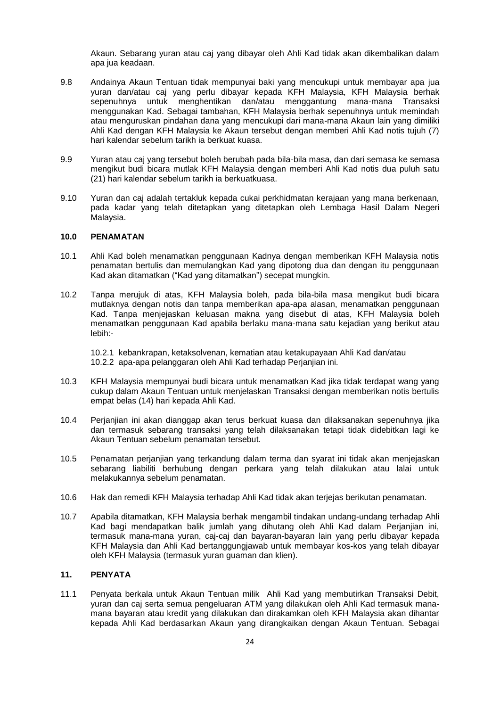Akaun. Sebarang yuran atau caj yang dibayar oleh Ahli Kad tidak akan dikembalikan dalam apa jua keadaan.

- 9.8 Andainya Akaun Tentuan tidak mempunyai baki yang mencukupi untuk membayar apa jua yuran dan/atau caj yang perlu dibayar kepada KFH Malaysia, KFH Malaysia berhak sepenuhnya untuk menghentikan dan/atau menggantung mana-mana Transaksi menggunakan Kad. Sebagai tambahan, KFH Malaysia berhak sepenuhnya untuk memindah atau menguruskan pindahan dana yang mencukupi dari mana-mana Akaun lain yang dimiliki Ahli Kad dengan KFH Malaysia ke Akaun tersebut dengan memberi Ahli Kad notis tujuh (7) hari kalendar sebelum tarikh ia berkuat kuasa.
- 9.9 Yuran atau caj yang tersebut boleh berubah pada bila-bila masa, dan dari semasa ke semasa mengikut budi bicara mutlak KFH Malaysia dengan memberi Ahli Kad notis dua puluh satu (21) hari kalendar sebelum tarikh ia berkuatkuasa.
- 9.10 Yuran dan caj adalah tertakluk kepada cukai perkhidmatan kerajaan yang mana berkenaan, pada kadar yang telah ditetapkan yang ditetapkan oleh Lembaga Hasil Dalam Negeri Malaysia.

# **10.0 PENAMATAN**

- 10.1 Ahli Kad boleh menamatkan penggunaan Kadnya dengan memberikan KFH Malaysia notis penamatan bertulis dan memulangkan Kad yang dipotong dua dan dengan itu penggunaan Kad akan ditamatkan ("Kad yang ditamatkan") secepat mungkin.
- 10.2 Tanpa merujuk di atas, KFH Malaysia boleh, pada bila-bila masa mengikut budi bicara mutlaknya dengan notis dan tanpa memberikan apa-apa alasan, menamatkan penggunaan Kad. Tanpa menjejaskan keluasan makna yang disebut di atas, KFH Malaysia boleh menamatkan penggunaan Kad apabila berlaku mana-mana satu kejadian yang berikut atau lebih:-

10.2.1 kebankrapan, ketaksolvenan, kematian atau ketakupayaan Ahli Kad dan/atau 10.2.2 apa-apa pelanggaran oleh Ahli Kad terhadap Perjanjian ini.

- 10.3 KFH Malaysia mempunyai budi bicara untuk menamatkan Kad jika tidak terdapat wang yang cukup dalam Akaun Tentuan untuk menjelaskan Transaksi dengan memberikan notis bertulis empat belas (14) hari kepada Ahli Kad.
- 10.4 Perjanjian ini akan dianggap akan terus berkuat kuasa dan dilaksanakan sepenuhnya jika dan termasuk sebarang transaksi yang telah dilaksanakan tetapi tidak didebitkan lagi ke Akaun Tentuan sebelum penamatan tersebut.
- 10.5 Penamatan perjanjian yang terkandung dalam terma dan syarat ini tidak akan menjejaskan sebarang liabiliti berhubung dengan perkara yang telah dilakukan atau lalai untuk melakukannya sebelum penamatan.
- 10.6 Hak dan remedi KFH Malaysia terhadap Ahli Kad tidak akan terjejas berikutan penamatan.
- 10.7 Apabila ditamatkan, KFH Malaysia berhak mengambil tindakan undang-undang terhadap Ahli Kad bagi mendapatkan balik jumlah yang dihutang oleh Ahli Kad dalam Perjanjian ini, termasuk mana-mana yuran, caj-caj dan bayaran-bayaran lain yang perlu dibayar kepada KFH Malaysia dan Ahli Kad bertanggungjawab untuk membayar kos-kos yang telah dibayar oleh KFH Malaysia (termasuk yuran guaman dan klien).

# **11. PENYATA**

11.1 Penyata berkala untuk Akaun Tentuan milik Ahli Kad yang membutirkan Transaksi Debit, yuran dan caj serta semua pengeluaran ATM yang dilakukan oleh Ahli Kad termasuk manamana bayaran atau kredit yang dilakukan dan dirakamkan oleh KFH Malaysia akan dihantar kepada Ahli Kad berdasarkan Akaun yang dirangkaikan dengan Akaun Tentuan. Sebagai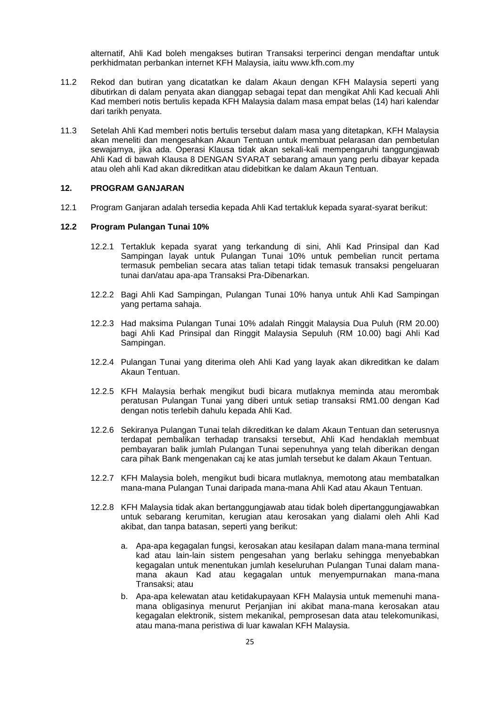alternatif, Ahli Kad boleh mengakses butiran Transaksi terperinci dengan mendaftar untuk perkhidmatan perbankan internet KFH Malaysia, iaitu www.kfh.com.my

- 11.2 Rekod dan butiran yang dicatatkan ke dalam Akaun dengan KFH Malaysia seperti yang dibutirkan di dalam penyata akan dianggap sebagai tepat dan mengikat Ahli Kad kecuali Ahli Kad memberi notis bertulis kepada KFH Malaysia dalam masa empat belas (14) hari kalendar dari tarikh penyata.
- 11.3 Setelah Ahli Kad memberi notis bertulis tersebut dalam masa yang ditetapkan, KFH Malaysia akan meneliti dan mengesahkan Akaun Tentuan untuk membuat pelarasan dan pembetulan sewajarnya, jika ada. Operasi Klausa tidak akan sekali-kali mempengaruhi tanggungjawab Ahli Kad di bawah Klausa 8 DENGAN SYARAT sebarang amaun yang perlu dibayar kepada atau oleh ahli Kad akan dikreditkan atau didebitkan ke dalam Akaun Tentuan.

# **12. PROGRAM GANJARAN**

12.1 Program Ganjaran adalah tersedia kepada Ahli Kad tertakluk kepada syarat-syarat berikut:

## **12.2 Program Pulangan Tunai 10%**

- 12.2.1 Tertakluk kepada syarat yang terkandung di sini, Ahli Kad Prinsipal dan Kad Sampingan layak untuk Pulangan Tunai 10% untuk pembelian runcit pertama termasuk pembelian secara atas talian tetapi tidak temasuk transaksi pengeluaran tunai dan/atau apa-apa Transaksi Pra-Dibenarkan.
- 12.2.2 Bagi Ahli Kad Sampingan, Pulangan Tunai 10% hanya untuk Ahli Kad Sampingan yang pertama sahaja.
- 12.2.3 Had maksima Pulangan Tunai 10% adalah Ringgit Malaysia Dua Puluh (RM 20.00) bagi Ahli Kad Prinsipal dan Ringgit Malaysia Sepuluh (RM 10.00) bagi Ahli Kad Sampingan.
- 12.2.4 Pulangan Tunai yang diterima oleh Ahli Kad yang layak akan dikreditkan ke dalam Akaun Tentuan.
- 12.2.5 KFH Malaysia berhak mengikut budi bicara mutlaknya meminda atau merombak peratusan Pulangan Tunai yang diberi untuk setiap transaksi RM1.00 dengan Kad dengan notis terlebih dahulu kepada Ahli Kad.
- 12.2.6 Sekiranya Pulangan Tunai telah dikreditkan ke dalam Akaun Tentuan dan seterusnya terdapat pembalikan terhadap transaksi tersebut, Ahli Kad hendaklah membuat pembayaran balik jumlah Pulangan Tunai sepenuhnya yang telah diberikan dengan cara pihak Bank mengenakan caj ke atas jumlah tersebut ke dalam Akaun Tentuan.
- 12.2.7 KFH Malaysia boleh, mengikut budi bicara mutlaknya, memotong atau membatalkan mana-mana Pulangan Tunai daripada mana-mana Ahli Kad atau Akaun Tentuan.
- 12.2.8 KFH Malaysia tidak akan bertanggungjawab atau tidak boleh dipertanggungjawabkan untuk sebarang kerumitan, kerugian atau kerosakan yang dialami oleh Ahli Kad akibat, dan tanpa batasan, seperti yang berikut:
	- a. Apa-apa kegagalan fungsi, kerosakan atau kesilapan dalam mana-mana terminal kad atau lain-lain sistem pengesahan yang berlaku sehingga menyebabkan kegagalan untuk menentukan jumlah keseluruhan Pulangan Tunai dalam manamana akaun Kad atau kegagalan untuk menyempurnakan mana-mana Transaksi; atau
	- b. Apa-apa kelewatan atau ketidakupayaan KFH Malaysia untuk memenuhi manamana obligasinya menurut Perjanjian ini akibat mana-mana kerosakan atau kegagalan elektronik, sistem mekanikal, pemprosesan data atau telekomunikasi, atau mana-mana peristiwa di luar kawalan KFH Malaysia.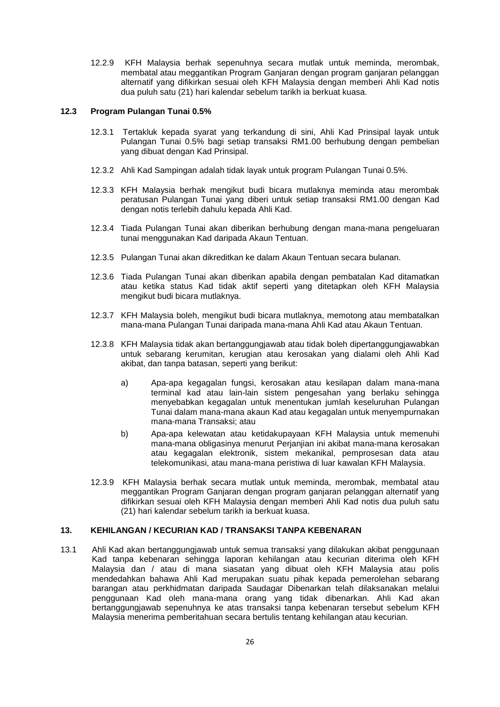12.2.9 KFH Malaysia berhak sepenuhnya secara mutlak untuk meminda, merombak, membatal atau meggantikan Program Ganjaran dengan program ganjaran pelanggan alternatif yang difikirkan sesuai oleh KFH Malaysia dengan memberi Ahli Kad notis dua puluh satu (21) hari kalendar sebelum tarikh ia berkuat kuasa.

#### **12.3 Program Pulangan Tunai 0.5%**

- 12.3.1 Tertakluk kepada syarat yang terkandung di sini, Ahli Kad Prinsipal layak untuk Pulangan Tunai 0.5% bagi setiap transaksi RM1.00 berhubung dengan pembelian yang dibuat dengan Kad Prinsipal.
- 12.3.2 Ahli Kad Sampingan adalah tidak layak untuk program Pulangan Tunai 0.5%.
- 12.3.3 KFH Malaysia berhak mengikut budi bicara mutlaknya meminda atau merombak peratusan Pulangan Tunai yang diberi untuk setiap transaksi RM1.00 dengan Kad dengan notis terlebih dahulu kepada Ahli Kad.
- 12.3.4 Tiada Pulangan Tunai akan diberikan berhubung dengan mana-mana pengeluaran tunai menggunakan Kad daripada Akaun Tentuan.
- 12.3.5 Pulangan Tunai akan dikreditkan ke dalam Akaun Tentuan secara bulanan.
- 12.3.6 Tiada Pulangan Tunai akan diberikan apabila dengan pembatalan Kad ditamatkan atau ketika status Kad tidak aktif seperti yang ditetapkan oleh KFH Malaysia mengikut budi bicara mutlaknya.
- 12.3.7 KFH Malaysia boleh, mengikut budi bicara mutlaknya, memotong atau membatalkan mana-mana Pulangan Tunai daripada mana-mana Ahli Kad atau Akaun Tentuan.
- 12.3.8 KFH Malaysia tidak akan bertanggungjawab atau tidak boleh dipertanggungjawabkan untuk sebarang kerumitan, kerugian atau kerosakan yang dialami oleh Ahli Kad akibat, dan tanpa batasan, seperti yang berikut:
	- a) Apa-apa kegagalan fungsi, kerosakan atau kesilapan dalam mana-mana terminal kad atau lain-lain sistem pengesahan yang berlaku sehingga menyebabkan kegagalan untuk menentukan jumlah keseluruhan Pulangan Tunai dalam mana-mana akaun Kad atau kegagalan untuk menyempurnakan mana-mana Transaksi; atau
	- b) Apa-apa kelewatan atau ketidakupayaan KFH Malaysia untuk memenuhi mana-mana obligasinya menurut Perjanjian ini akibat mana-mana kerosakan atau kegagalan elektronik, sistem mekanikal, pemprosesan data atau telekomunikasi, atau mana-mana peristiwa di luar kawalan KFH Malaysia.
- 12.3.9 KFH Malaysia berhak secara mutlak untuk meminda, merombak, membatal atau meggantikan Program Ganjaran dengan program ganjaran pelanggan alternatif yang difikirkan sesuai oleh KFH Malaysia dengan memberi Ahli Kad notis dua puluh satu (21) hari kalendar sebelum tarikh ia berkuat kuasa.

## **13. KEHILANGAN / KECURIAN KAD / TRANSAKSI TANPA KEBENARAN**

13.1 Ahli Kad akan bertanggungjawab untuk semua transaksi yang dilakukan akibat penggunaan Kad tanpa kebenaran sehingga laporan kehilangan atau kecurian diterima oleh KFH Malaysia dan / atau di mana siasatan yang dibuat oleh KFH Malaysia atau polis mendedahkan bahawa Ahli Kad merupakan suatu pihak kepada pemerolehan sebarang barangan atau perkhidmatan daripada Saudagar Dibenarkan telah dilaksanakan melalui penggunaan Kad oleh mana-mana orang yang tidak dibenarkan. Ahli Kad akan bertanggungjawab sepenuhnya ke atas transaksi tanpa kebenaran tersebut sebelum KFH Malaysia menerima pemberitahuan secara bertulis tentang kehilangan atau kecurian.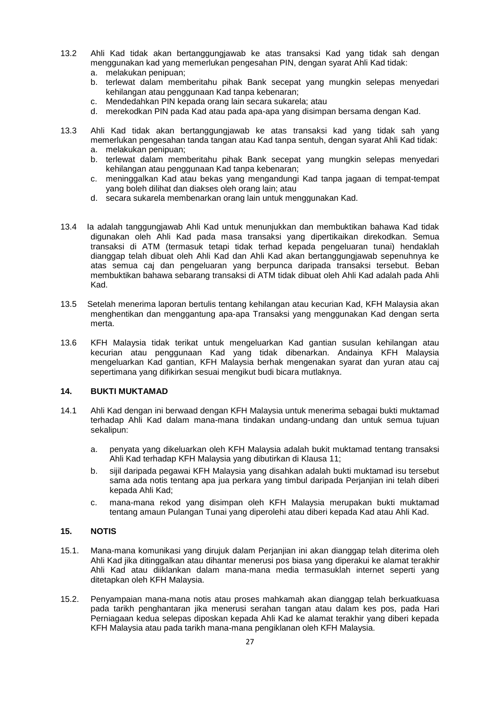- 13.2 Ahli Kad tidak akan bertanggungjawab ke atas transaksi Kad yang tidak sah dengan menggunakan kad yang memerlukan pengesahan PIN, dengan syarat Ahli Kad tidak:
	- a. melakukan penipuan;
	- b. terlewat dalam memberitahu pihak Bank secepat yang mungkin selepas menyedari kehilangan atau penggunaan Kad tanpa kebenaran;
	- c. Mendedahkan PIN kepada orang lain secara sukarela; atau
	- d. merekodkan PIN pada Kad atau pada apa-apa yang disimpan bersama dengan Kad.
- 13.3 Ahli Kad tidak akan bertanggungjawab ke atas transaksi kad yang tidak sah yang memerlukan pengesahan tanda tangan atau Kad tanpa sentuh, dengan syarat Ahli Kad tidak:
	- a. melakukan penipuan; b. terlewat dalam memberitahu pihak Bank secepat yang mungkin selepas menyedari
	- kehilangan atau penggunaan Kad tanpa kebenaran;
	- c. meninggalkan Kad atau bekas yang mengandungi Kad tanpa jagaan di tempat-tempat yang boleh dilihat dan diakses oleh orang lain; atau
	- d. secara sukarela membenarkan orang lain untuk menggunakan Kad.
- 13.4 Ia adalah tanggungjawab Ahli Kad untuk menunjukkan dan membuktikan bahawa Kad tidak digunakan oleh Ahli Kad pada masa transaksi yang dipertikaikan direkodkan. Semua transaksi di ATM (termasuk tetapi tidak terhad kepada pengeluaran tunai) hendaklah dianggap telah dibuat oleh Ahli Kad dan Ahli Kad akan bertanggungjawab sepenuhnya ke atas semua caj dan pengeluaran yang berpunca daripada transaksi tersebut. Beban membuktikan bahawa sebarang transaksi di ATM tidak dibuat oleh Ahli Kad adalah pada Ahli Kad.
- 13.5 Setelah menerima laporan bertulis tentang kehilangan atau kecurian Kad, KFH Malaysia akan menghentikan dan menggantung apa-apa Transaksi yang menggunakan Kad dengan serta merta.
- 13.6 KFH Malaysia tidak terikat untuk mengeluarkan Kad gantian susulan kehilangan atau kecurian atau penggunaan Kad yang tidak dibenarkan. Andainya KFH Malaysia mengeluarkan Kad gantian, KFH Malaysia berhak mengenakan syarat dan yuran atau caj sepertimana yang difikirkan sesuai mengikut budi bicara mutlaknya.

# **14. BUKTI MUKTAMAD**

- 14.1 Ahli Kad dengan ini berwaad dengan KFH Malaysia untuk menerima sebagai bukti muktamad terhadap Ahli Kad dalam mana-mana tindakan undang-undang dan untuk semua tujuan sekalipun:
	- a. penyata yang dikeluarkan oleh KFH Malaysia adalah bukit muktamad tentang transaksi Ahli Kad terhadap KFH Malaysia yang dibutirkan di Klausa 11;
	- b. sijil daripada pegawai KFH Malaysia yang disahkan adalah bukti muktamad isu tersebut sama ada notis tentang apa jua perkara yang timbul daripada Perjanjian ini telah diberi kepada Ahli Kad;
	- c. mana-mana rekod yang disimpan oleh KFH Malaysia merupakan bukti muktamad tentang amaun Pulangan Tunai yang diperolehi atau diberi kepada Kad atau Ahli Kad.

## **15. NOTIS**

- 15.1. Mana-mana komunikasi yang dirujuk dalam Perjanjian ini akan dianggap telah diterima oleh Ahli Kad jika ditinggalkan atau dihantar menerusi pos biasa yang diperakui ke alamat terakhir Ahli Kad atau diiklankan dalam mana-mana media termasuklah internet seperti yang ditetapkan oleh KFH Malaysia.
- 15.2. Penyampaian mana-mana notis atau proses mahkamah akan dianggap telah berkuatkuasa pada tarikh penghantaran jika menerusi serahan tangan atau dalam kes pos, pada Hari Perniagaan kedua selepas diposkan kepada Ahli Kad ke alamat terakhir yang diberi kepada KFH Malaysia atau pada tarikh mana-mana pengiklanan oleh KFH Malaysia.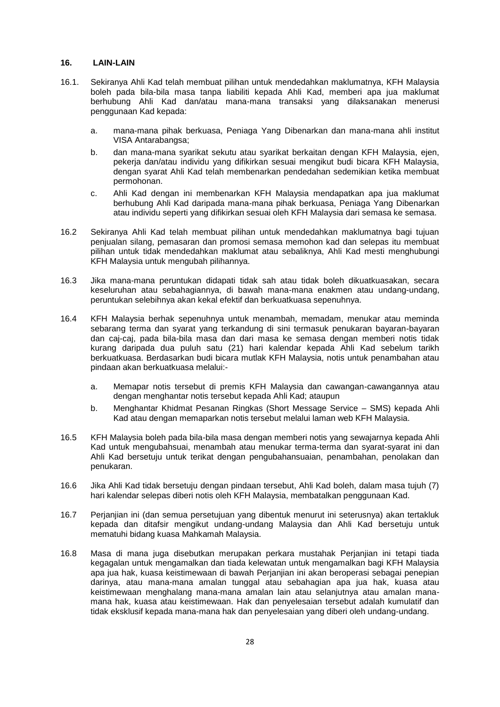#### **16. LAIN-LAIN**

- 16.1. Sekiranya Ahli Kad telah membuat pilihan untuk mendedahkan maklumatnya, KFH Malaysia boleh pada bila-bila masa tanpa liabiliti kepada Ahli Kad, memberi apa jua maklumat berhubung Ahli Kad dan/atau mana-mana transaksi yang dilaksanakan menerusi penggunaan Kad kepada:
	- a. mana-mana pihak berkuasa, Peniaga Yang Dibenarkan dan mana-mana ahli institut VISA Antarabangsa;
	- b. dan mana-mana syarikat sekutu atau syarikat berkaitan dengan KFH Malaysia, ejen, pekerja dan/atau individu yang difikirkan sesuai mengikut budi bicara KFH Malaysia, dengan syarat Ahli Kad telah membenarkan pendedahan sedemikian ketika membuat permohonan.
	- c. Ahli Kad dengan ini membenarkan KFH Malaysia mendapatkan apa jua maklumat berhubung Ahli Kad daripada mana-mana pihak berkuasa, Peniaga Yang Dibenarkan atau individu seperti yang difikirkan sesuai oleh KFH Malaysia dari semasa ke semasa.
- 16.2 Sekiranya Ahli Kad telah membuat pilihan untuk mendedahkan maklumatnya bagi tujuan penjualan silang, pemasaran dan promosi semasa memohon kad dan selepas itu membuat pilihan untuk tidak mendedahkan maklumat atau sebaliknya, Ahli Kad mesti menghubungi KFH Malaysia untuk mengubah pilihannya.
- 16.3 Jika mana-mana peruntukan didapati tidak sah atau tidak boleh dikuatkuasakan, secara keseluruhan atau sebahagiannya, di bawah mana-mana enakmen atau undang-undang, peruntukan selebihnya akan kekal efektif dan berkuatkuasa sepenuhnya.
- 16.4 KFH Malaysia berhak sepenuhnya untuk menambah, memadam, menukar atau meminda sebarang terma dan syarat yang terkandung di sini termasuk penukaran bayaran-bayaran dan caj-caj, pada bila-bila masa dan dari masa ke semasa dengan memberi notis tidak kurang daripada dua puluh satu (21) hari kalendar kepada Ahli Kad sebelum tarikh berkuatkuasa. Berdasarkan budi bicara mutlak KFH Malaysia, notis untuk penambahan atau pindaan akan berkuatkuasa melalui:
	- a. Memapar notis tersebut di premis KFH Malaysia dan cawangan-cawangannya atau dengan menghantar notis tersebut kepada Ahli Kad; ataupun
	- b. Menghantar Khidmat Pesanan Ringkas (Short Message Service SMS) kepada Ahli Kad atau dengan memaparkan notis tersebut melalui laman web KFH Malaysia.
- 16.5 KFH Malaysia boleh pada bila-bila masa dengan memberi notis yang sewajarnya kepada Ahli Kad untuk mengubahsuai, menambah atau menukar terma-terma dan syarat-syarat ini dan Ahli Kad bersetuju untuk terikat dengan pengubahansuaian, penambahan, penolakan dan penukaran.
- 16.6 Jika Ahli Kad tidak bersetuju dengan pindaan tersebut, Ahli Kad boleh, dalam masa tujuh (7) hari kalendar selepas diberi notis oleh KFH Malaysia, membatalkan penggunaan Kad.
- 16.7 Perjanjian ini (dan semua persetujuan yang dibentuk menurut ini seterusnya) akan tertakluk kepada dan ditafsir mengikut undang-undang Malaysia dan Ahli Kad bersetuju untuk mematuhi bidang kuasa Mahkamah Malaysia.
- 16.8 Masa di mana juga disebutkan merupakan perkara mustahak Perjanjian ini tetapi tiada kegagalan untuk mengamalkan dan tiada kelewatan untuk mengamalkan bagi KFH Malaysia apa jua hak, kuasa keistimewaan di bawah Perjanjian ini akan beroperasi sebagai penepian darinya, atau mana-mana amalan tunggal atau sebahagian apa jua hak, kuasa atau keistimewaan menghalang mana-mana amalan lain atau selanjutnya atau amalan manamana hak, kuasa atau keistimewaan. Hak dan penyelesaian tersebut adalah kumulatif dan tidak eksklusif kepada mana-mana hak dan penyelesaian yang diberi oleh undang-undang.